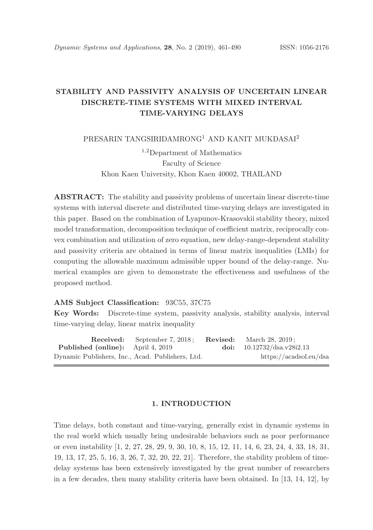# STABILITY AND PASSIVITY ANALYSIS OF UNCERTAIN LINEAR DISCRETE-TIME SYSTEMS WITH MIXED INTERVAL TIME-VARYING DELAYS

PRESARIN TANGSIRIDAMRONG<sup>1</sup> AND KANIT MUKDASAI<sup>2</sup>

<sup>1</sup>,<sup>2</sup>Department of Mathematics Faculty of Science Khon Kaen University, Khon Kaen 40002, THAILAND

ABSTRACT: The stability and passivity problems of uncertain linear discrete-time systems with interval discrete and distributed time-varying delays are investigated in this paper. Based on the combination of Lyapunov-Krasovskii stability theory, mixed model transformation, decomposition technique of coefficient matrix, reciprocally convex combination and utilization of zero equation, new delay-range-dependent stability and passivity criteria are obtained in terms of linear matrix inequalities (LMIs) for computing the allowable maximum admissible upper bound of the delay-range. Numerical examples are given to demonstrate the effectiveness and usefulness of the proposed method.

### AMS Subject Classification: 93C55, 37C75

Key Words: Discrete-time system, passivity analysis, stability analysis, interval time-varying delay, linear matrix inequality

**Received:** September 7, 2018; **Revised:** March 28, 2019;<br> **doi:** 10.12732/dsa.v28 Published (online): April 4, 2019 doi: 10.12732/dsa.v28i2.13 Dynamic Publishers, Inc., Acad. Publishers, Ltd. https://acadsol.eu/dsa

## 1. INTRODUCTION

Time delays, both constant and time-varying, generally exist in dynamic systems in the real world which usually bring undesirable behaviors such as poor performance or even instability [1, 2, 27, 28, 29, 9, 30, 10, 8, 15, 12, 11, 14, 6, 23, 24, 4, 33, 18, 31, 19, 13, 17, 25, 5, 16, 3, 26, 7, 32, 20, 22, 21]. Therefore, the stability problem of timedelay systems has been extensively investigated by the great number of researchers in a few decades, then many stability criteria have been obtained. In [13, 14, 12], by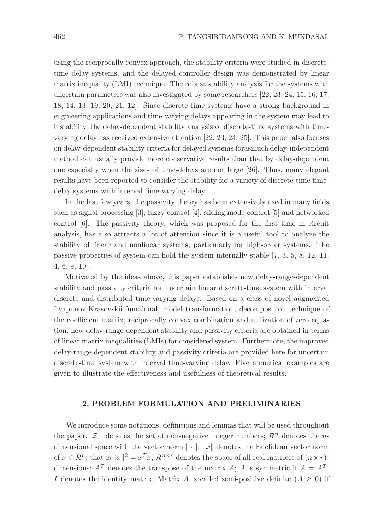using the reciprocally convex approach, the stability criteria were studied in discretetime delay systems, and the delayed controller design was demonstrated by linear matrix inequality (LMI) technique. The robust stability analysis for the systems with uncertain parameters was also investigated by some researchers [22, 23, 24, 15, 16, 17, 18, 14, 13, 19, 20, 21, 12]. Since discrete-time systems have a strong background in engineering applications and time-varying delays appearing in the system may lead to instability, the delay-dependent stability analysis of discrete-time systems with timevarying delay has received extensive attention [22, 23, 24, 25]. This paper also focuses on delay-dependent stability criteria for delayed systems forasmuch delay-independent method can usually provide more conservative results than that by delay-dependent one especially when the sizes of time-delays are not large [26]. Thus, many elegant results have been reported to consider the stability for a variety of discrete-time timedelay systems with interval time-varying delay.

In the last few years, the passivity theory has been extensively used in many fields such as signal processing [3], fuzzy control [4], sliding mode control [5] and networked control [6]. The passivity theory, which was proposed for the first time in circuit analysis, has also attracts a lot of attention since it is a useful tool to analyze the stability of linear and nonlinear systems, particularly for high-order systems. The passive properties of system can hold the system internally stable [7, 3, 5, 8, 12, 11, 4, 6, 9, 10].

Motivated by the ideas above, this paper establishes new delay-range-dependent stability and passivity criteria for uncertain linear discrete-time system with interval discrete and distributed time-varying delays. Based on a class of novel augmented Lyapunov-Krasovskii functional, model transformation, decomposition technique of the coefficient matrix, reciprocally convex combination and utilization of zero equation, new delay-range-dependent stability and passivity criteria are obtained in terms of linear matrix inequalities (LMIs) for considered system. Furthermore, the improved delay-range-dependent stability and passivity criteria are provided here for uncertain discrete-time system with interval time-varying delay. Five numerical examples are given to illustrate the effectiveness and usefulness of theoretical results.

### 2. PROBLEM FORMULATION AND PRELIMINARIES

We introduce some notations, definitions and lemmas that will be used throughout the paper.  $\mathcal{Z}^+$  denotes the set of non-negative integer numbers;  $\mathcal{R}^n$  denotes the *n*dimensional space with the vector norm  $\|\cdot\|$ ;  $\|x\|$  denotes the Euclidean vector norm of  $x \in \mathcal{R}^n$ , that is  $||x||^2 = x^T x$ ;  $\mathcal{R}^{n \times r}$  denotes the space of all real matrices of  $(n \times r)$ dimensions;  $A<sup>T</sup>$  denotes the transpose of the matrix A; A is symmetric if  $A = A<sup>T</sup>$ ; I denotes the identity matrix; Matrix A is called semi-positive definite  $(A \geq 0)$  if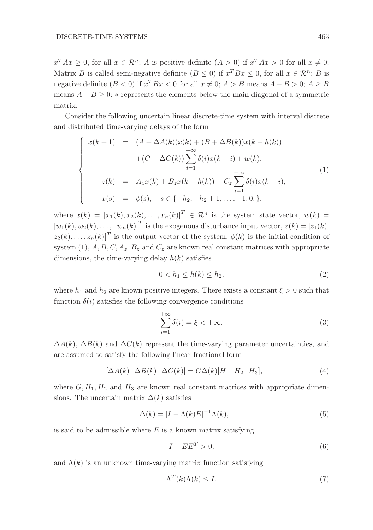$x^T A x \geq 0$ , for all  $x \in \mathcal{R}^n$ ; A is positive definite  $(A > 0)$  if  $x^T A x > 0$  for all  $x \neq 0$ ; Matrix B is called semi-negative definite  $(B \le 0)$  if  $x^T B x \le 0$ , for all  $x \in \mathcal{R}^n$ ; B is negative definite  $(B < 0)$  if  $x^T B x < 0$  for all  $x \neq 0$ ;  $A > B$  means  $A - B > 0$ ;  $A \geq B$ means  $A - B \geq 0$ ; \* represents the elements below the main diagonal of a symmetric matrix.

Consider the following uncertain linear discrete-time system with interval discrete and distributed time-varying delays of the form

$$
\begin{cases}\nx(k+1) = (A + \Delta A(k))x(k) + (B + \Delta B(k))x(k - h(k)) \\
+ (C + \Delta C(k)) \sum_{i=1}^{+\infty} \delta(i)x(k - i) + w(k), \\
z(k) = A_z x(k) + B_z x(k - h(k)) + C_z \sum_{i=1}^{+\infty} \delta(i)x(k - i), \\
x(s) = \phi(s), \quad s \in \{-h_2, -h_2 + 1, \dots, -1, 0, \},\n\end{cases}
$$
\n(1)

where  $x(k) = [x_1(k), x_2(k), \ldots, x_n(k)]^T \in \mathcal{R}^n$  is the system state vector,  $w(k) =$  $[w_1(k), w_2(k), \ldots, w_n(k)]^T$  is the exogenous disturbance input vector,  $z(k) = [z_1(k),$  $(z_2(k), \ldots, z_n(k)]^T$  is the output vector of the system,  $\phi(k)$  is the initial condition of system (1),  $A, B, C, A_z, B_z$  and  $C_z$  are known real constant matrices with appropriate dimensions, the time-varying delay  $h(k)$  satisfies

$$
0 < h_1 \le h(k) \le h_2,\tag{2}
$$

where  $h_1$  and  $h_2$  are known positive integers. There exists a constant  $\xi > 0$  such that function  $\delta(i)$  satisfies the following convergence conditions

$$
\sum_{i=1}^{+\infty} \delta(i) = \xi < +\infty.
$$
 (3)

 $\Delta A(k)$ ,  $\Delta B(k)$  and  $\Delta C(k)$  represent the time-varying parameter uncertainties, and are assumed to satisfy the following linear fractional form

$$
[\Delta A(k) \ \Delta B(k) \ \Delta C(k)] = G\Delta(k)[H_1 \ H_2 \ H_3],\tag{4}
$$

where  $G, H_1, H_2$  and  $H_3$  are known real constant matrices with appropriate dimensions. The uncertain matrix  $\Delta(k)$  satisfies

$$
\Delta(k) = [I - \Lambda(k)E]^{-1} \Lambda(k),\tag{5}
$$

is said to be admissible where  $E$  is a known matrix satisfying

$$
I - EE^T > 0,\t\t(6)
$$

and  $\Lambda(k)$  is an unknown time-varying matrix function satisfying

$$
\Lambda^T(k)\Lambda(k) \le I. \tag{7}
$$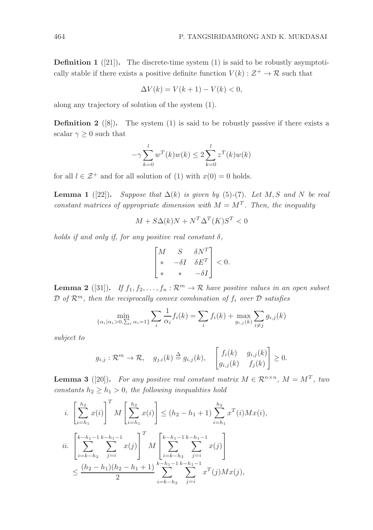**Definition 1** ([21]). The discrete-time system (1) is said to be robustly asymptotically stable if there exists a positive definite function  $V(k): \mathcal{Z}^+ \to \mathcal{R}$  such that

$$
\Delta V(k) = V(k+1) - V(k) < 0,
$$

along any trajectory of solution of the system (1).

**Definition 2** ([8]). The system (1) is said to be robustly passive if there exists a scalar  $\gamma \geq 0$  such that

$$
-\gamma \sum_{k=0}^{l} w^{T}(k)w(k) \le 2 \sum_{k=0}^{l} z^{T}(k)w(k)
$$

for all  $l \in \mathcal{Z}^+$  and for all solution of (1) with  $x(0) = 0$  holds.

**Lemma 1** ([22]). *Suppose that*  $\Delta(k)$  *is given by* (5)-(7). Let M, S and N be real *constant matrices of appropriate dimension with*  $M = M^T$ . Then, the inequality

$$
M + S\Delta(k)N + N^T\Delta^T(K)S^T < 0
$$

*holds if and only if, for any positive real constant*  $\delta$ ,

$$
\begin{bmatrix} M & S & \delta N^T \\ * & -\delta I & \delta E^T \\ * & * & -\delta I \end{bmatrix} < 0.
$$

**Lemma 2** ([31]). *If*  $f_1, f_2, \ldots, f_n : \mathbb{R}^m \to \mathbb{R}$  *have positive values in an open subset*  $\mathcal{D}$  *of*  $\mathcal{R}^m$ *, then the reciprocally convex combination of*  $f_i$  *over*  $\mathcal{D}$  *satisfies* 

$$
\min_{\{\alpha_i | \alpha_i > 0, \sum_i \alpha_i = 1\}} \sum_i \frac{1}{\alpha_i} f_i(k) = \sum_i f_i(k) + \max_{g_{i,j}(k)} \sum_{i \neq j} g_{i,j}(k)
$$

*subject to*

$$
g_{i,j} : \mathcal{R}^m \to \mathcal{R}, \quad g_{j,i}(k) \stackrel{\Delta}{=} g_{i,j}(k), \quad \begin{bmatrix} f_i(k) & g_{i,j}(k) \\ g_{i,j}(k) & f_j(k) \end{bmatrix} \geq 0.
$$

**Lemma 3** ([20]). For any positive real constant matrix  $M \in \mathbb{R}^{n \times n}$ ,  $M = M^T$ , two *constants*  $h_2 \geq h_1 > 0$ *, the following inequalities hold* 

$$
i. \left[\sum_{i=h_1}^{h_2} x(i)\right]^T M \left[\sum_{i=h_1}^{h_2} x(i)\right] \le (h_2 - h_1 + 1) \sum_{i=h_1}^{h_2} x^T(i) M x(i),
$$
  

$$
ii. \left[\sum_{i=k-h_2}^{k-h_1-1} \sum_{j=i}^{k-h_1-1} x(j)\right]^T M \left[\sum_{i=k-h_2}^{k-h_1-1} \sum_{j=i}^{k-h_1-1} x(j)\right]
$$
  

$$
\le \frac{(h_2 - h_1)(h_2 - h_1 + 1)}{2} \sum_{i=k-h_2}^{k-h_1-1} \sum_{j=i}^{k-h_1-1} x^T(j) M x(j),
$$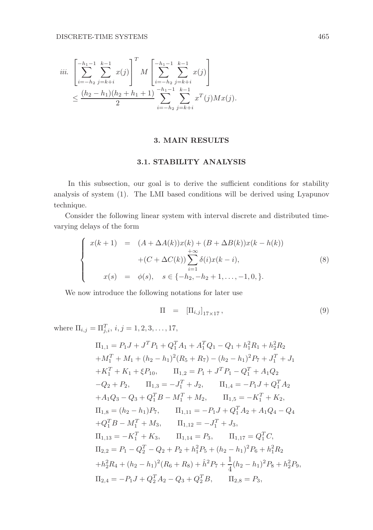$$
\begin{split} iii. \quad & \left[ \sum_{i=-h_2}^{-h_1-1} \sum_{j=k+i}^{k-1} x(j) \right]^T M \left[ \sum_{i=-h_2}^{-h_1-1} \sum_{j=k+i}^{k-1} x(j) \right] \\ & \le \frac{(h_2-h_1)(h_2+h_1+1)}{2} \sum_{i=-h_2}^{-h_1-1} \sum_{j=k+i}^{k-1} x^T(j) M x(j). \end{split}
$$

# 3. MAIN RESULTS

# 3.1. STABILITY ANALYSIS

In this subsection, our goal is to derive the sufficient conditions for stability analysis of system (1). The LMI based conditions will be derived using Lyapunov technique.

Consider the following linear system with interval discrete and distributed timevarying delays of the form

$$
\begin{cases}\nx(k+1) = (A + \Delta A(k))x(k) + (B + \Delta B(k))x(k - h(k)) \\
+ (C + \Delta C(k)) \sum_{i=1}^{+\infty} \delta(i)x(k - i), \\
x(s) = \phi(s), \quad s \in \{-h_2, -h_2 + 1, \dots, -1, 0, \}.\n\end{cases}
$$
\n(8)

We now introduce the following notations for later use

$$
\Pi = \left[ \Pi_{i,j} \right]_{17 \times 17},\tag{9}
$$

where  $\Pi_{i,j} = \Pi_{j,i}^T$ ,  $i, j = 1, 2, 3, \ldots, 17$ ,

$$
\Pi_{1,1} = P_1 J + J^T P_1 + Q_1^T A_1 + A_1^T Q_1 - Q_1 + h_1^2 R_1 + h_2^2 R_2
$$
  
\n
$$
+ M_1^T + M_1 + (h_2 - h_1)^2 (R_5 + R_7) - (h_2 - h_1)^2 P_7 + J_1^T + J_1
$$
  
\n
$$
+ K_1^T + K_1 + \xi P_{10}, \qquad \Pi_{1,2} = P_1 + J^T P_1 - Q_1^T + A_1 Q_2
$$
  
\n
$$
-Q_2 + P_2, \qquad \Pi_{1,3} = -J_1^T + J_2, \qquad \Pi_{1,4} = -P_1 J + Q_1^T A_2
$$
  
\n
$$
+ A_1 Q_3 - Q_3 + Q_1^T B - M_1^T + M_2, \qquad \Pi_{1,5} = -K_1^T + K_2,
$$
  
\n
$$
\Pi_{1,8} = (h_2 - h_1) P_7, \qquad \Pi_{1,11} = -P_1 J + Q_1^T A_2 + A_1 Q_4 - Q_4
$$
  
\n
$$
+ Q_1^T B - M_1^T + M_3, \qquad \Pi_{1,12} = -J_1^T + J_3,
$$
  
\n
$$
\Pi_{1,13} = -K_1^T + K_3, \qquad \Pi_{1,14} = P_3, \qquad \Pi_{1,17} = Q_1^T C,
$$
  
\n
$$
\Pi_{2,2} = P_1 - Q_2^T - Q_2 + P_2 + h_1^2 P_5 + (h_2 - h_1)^2 P_6 + h_1^2 R_2
$$
  
\n
$$
+ h_2^2 R_4 + (h_2 - h_1)^2 (R_6 + R_8) + \hat{h}^2 P_7 + \frac{1}{4} (h_2 - h_1)^2 P_8 + h_2^2 P_9,
$$
  
\n
$$
\Pi_{2,4} = -P_1 J + Q_2^T A_2 - Q_3 + Q_2^T B, \qquad \Pi_{2,8} = P_3,
$$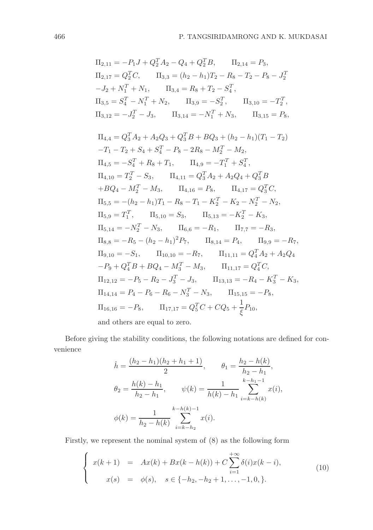$$
\Pi_{2,11} = -P_1J + Q_2^TA_2 - Q_4 + Q_2^TB, \qquad \Pi_{2,14} = P_3,
$$
  
\n
$$
\Pi_{2,17} = Q_2^TC, \qquad \Pi_{3,3} = (h_2 - h_1)T_2 - R_8 - T_2 - P_8 - J_2^T
$$
  
\n
$$
-J_2 + N_1^T + N_1, \qquad \Pi_{3,4} = R_8 + T_2 - S_4^T,
$$
  
\n
$$
\Pi_{3,5} = S_4^T - N_1^T + N_2, \qquad \Pi_{3,9} = -S_2^T, \qquad \Pi_{3,10} = -T_2^T,
$$
  
\n
$$
\Pi_{3,12} = -J_2^T - J_3, \qquad \Pi_{3,14} = -N_1^T + N_3, \qquad \Pi_{3,15} = P_8,
$$
  
\n
$$
\Pi_{4,4} = Q_3^TA_2 + A_2Q_3 + Q_3^TB + BQ_3 + (h_2 - h_1)(T_1 - T_2)
$$
  
\n
$$
-T_1 - T_2 + S_4 + S_4^T - P_8 - 2R_8 - M_2^T - M_2,
$$
  
\n
$$
\Pi_{4,5} = -S_4^T + R_8 + T_1, \qquad \Pi_{4,9} = -T_1^T + S_4^T,
$$
  
\n
$$
\Pi_{4,10} = T_2^T - S_3, \qquad \Pi_{4,11} = Q_3^TA_2 + A_2Q_4 + Q_3^TB
$$
  
\n
$$
+BQ_4 - M_2^T - M_3, \qquad \Pi_{4,16} = P_8, \qquad \Pi_{4,17} = Q_3^TC,
$$
  
\n
$$
\Pi_{5,5} = -(h_2 - h_1)T_1 - R_8 - T_1 - K_2^T - K_2 - N_2^T - N_2,
$$
  
\n
$$
\Pi_{5,9} = T_1^T, \qquad \Pi_{5,10} = S_3, \qquad \Pi_{5,13} = -K_2^T - K_3,
$$
  
\n
$$
\Pi_{5,14} = -N_2^T - N_3, \qquad \Pi_{6,6}
$$

and others are equal to zero.

Before giving the stability conditions, the following notations are defined for convenience

$$
\hat{h} = \frac{(h_2 - h_1)(h_2 + h_1 + 1)}{2}, \qquad \theta_1 = \frac{h_2 - h(k)}{h_2 - h_1},
$$
  

$$
\theta_2 = \frac{h(k) - h_1}{h_2 - h_1}, \qquad \psi(k) = \frac{1}{h(k) - h_1} \sum_{i=k-h(k)}^{k-h_1 - 1} x(i),
$$
  

$$
\phi(k) = \frac{1}{h_2 - h(k)} \sum_{i=k-h_2}^{k-h(k) - 1} x(i).
$$

Firstly, we represent the nominal system of (8) as the following form

$$
\begin{cases}\nx(k+1) = Ax(k) + Bx(k-h(k)) + C \sum_{i=1}^{+\infty} \delta(i)x(k-i), \\
x(s) = \phi(s), \quad s \in \{-h_2, -h_2 + 1, \dots, -1, 0, \}.\n\end{cases}
$$
\n(10)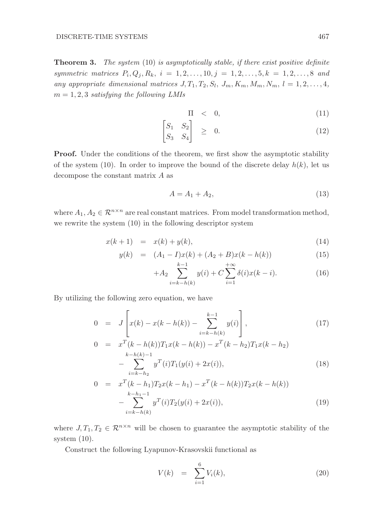Theorem 3. *The system* (10) *is asymptotically stable, if there exist positive definite symmetric matrices*  $P_i, Q_j, R_k, i = 1, 2, ..., 10, j = 1, 2, ..., 5, k = 1, 2, ..., 8$  and any appropriate dimensional matrices  $J, T_1, T_2, S_l, J_m, K_m, M_m, N_m, l = 1, 2, \ldots, 4$ , m = 1, 2, 3 *satisfying the following LMIs*

$$
\Pi \quad < \quad 0,\tag{11}
$$

$$
\begin{bmatrix} S_1 & S_2 \\ S_3 & S_4 \end{bmatrix} \quad \geq \quad 0. \tag{12}
$$

**Proof.** Under the conditions of the theorem, we first show the asymptotic stability of the system (10). In order to improve the bound of the discrete delay  $h(k)$ , let us decompose the constant matrix A as

$$
A = A_1 + A_2,\tag{13}
$$

where  $A_1, A_2 \in \mathbb{R}^{n \times n}$  are real constant matrices. From model transformation method, we rewrite the system (10) in the following descriptor system

$$
x(k+1) = x(k) + y(k),
$$
\n(14)

$$
y(k) = (A_1 - I)x(k) + (A_2 + B)x(k - h(k))
$$
\n(15)

$$
+A_2 \sum_{i=k-h(k)}^{k-1} y(i) + C \sum_{i=1}^{+\infty} \delta(i)x(k-i).
$$
 (16)

By utilizing the following zero equation, we have

$$
0 = J\left[x(k) - x(k - h(k)) - \sum_{i=k-h(k)}^{k-1} y(i)\right],
$$
\n
$$
0 = x^{T}(k - h(k))T_{1}x(k - h(k)) - x^{T}(k - h_{2})T_{1}x(k - h_{2})
$$
\n
$$
- \sum_{i=k-h_{2}}^{k-h_{2}} y^{T}(i)T_{1}(y(i) + 2x(i)),
$$
\n(18)

$$
0 = x^{T} (k - h_{1}) T_{2} x (k - h_{1}) - x^{T} (k - h(k)) T_{2} x (k - h(k))
$$
  

$$
- \sum_{i=k-h(k)}^{k-h_{1}-1} y^{T} (i) T_{2} (y(i) + 2x(i)),
$$
 (19)

where  $J, T_1, T_2 \in \mathbb{R}^{n \times n}$  will be chosen to guarantee the asymptotic stability of the system (10).

Construct the following Lyapunov-Krasovskii functional as

$$
V(k) = \sum_{i=1}^{6} V_i(k), \qquad (20)
$$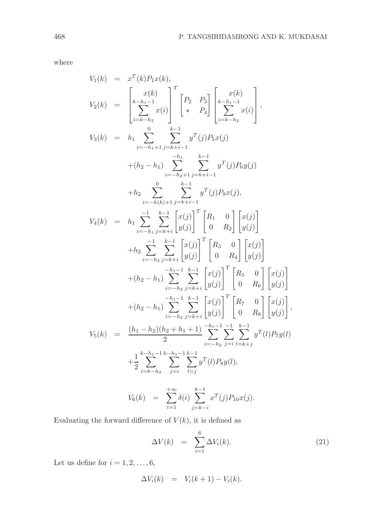where

$$
V_{1}(k) = x^{T}(k)P_{1}x(k),
$$
  
\n
$$
V_{2}(k) = \begin{bmatrix} x(k) \\ k-h_{1}-1 \\ \frac{k-h_{1}-1}{2}x(i) \end{bmatrix}^{T} \begin{bmatrix} P_{2} & P_{3} \\ * & P_{4} \end{bmatrix} \begin{bmatrix} x(k) \\ k-h_{1}-1 \\ \frac{k-h_{1}-1}{2}x(i) \end{bmatrix},
$$
  
\n
$$
V_{3}(k) = h_{1} \sum_{i=-h_{1}+1}^{0} \sum_{j=k+i-1}^{k-1} y^{T}(j)P_{5}x(j)
$$
  
\n
$$
+ (h_{2}-h_{1}) \sum_{i=-h_{2}+1}^{h_{1}} \sum_{j=k+i-1}^{k-1} y^{T}(j)P_{6}y(j)
$$
  
\n
$$
+ h_{2} \sum_{i=-h_{1}(k)+1}^{0} \sum_{j=k+i-1}^{k-1} y^{T}(j)P_{9}x(j),
$$
  
\n
$$
V_{4}(k) = h_{1} \sum_{i=-h_{1}}^{h_{1}} \sum_{j=k+i}^{k-1} \begin{bmatrix} x(j) \\ y(j) \end{bmatrix}^{T} \begin{bmatrix} R_{1} & 0 \\ 0 & R_{2} \end{bmatrix} \begin{bmatrix} x(j) \\ y(j) \end{bmatrix}
$$
  
\n
$$
+ h_{2} \sum_{i=-h_{2}}^{h_{2}} \sum_{j=k+i}^{k-1} \begin{bmatrix} x(j) \\ y(j) \end{bmatrix}^{T} \begin{bmatrix} R_{3} & 0 \\ 0 & R_{4} \end{bmatrix} \begin{bmatrix} x(j) \\ y(j) \end{bmatrix}
$$
  
\n
$$
+ (h_{2}-h_{1}) \sum_{i=-h_{2}}^{h_{1}-1} \sum_{j=k+i}^{k-1} \begin{bmatrix} x(j) \\ y(j) \end{bmatrix}^{T} \begin{bmatrix} R_{5} & 0 \\ 0 & R_{6} \end{bmatrix} \begin{bmatrix} x(j) \\ y(j) \end{bmatrix}
$$
  
\n
$$
+ (h_{2}-h_{1}) \sum_{i=-h_{2}}^{h_{1}-1} \sum_{j=k+i}^{k-1} \begin{bmatrix} x(j) \\ y(j) \end{bmatrix}^{T} \begin{bmatrix} R_{7} &
$$

$$
V_6(k) = \sum_{i=1}^{+\infty} \delta(i) \sum_{j=k-i}^{k-1} x^T(j) P_{10} x(j).
$$

Evaluating the forward difference of  $V(k)$ , it is defined as

$$
\Delta V(k) = \sum_{i=1}^{6} \Delta V_i(k). \tag{21}
$$

Let us define for  $i = 1, 2, \ldots, 6$ ,

$$
\Delta V_i(k) = V_i(k+1) - V_i(k).
$$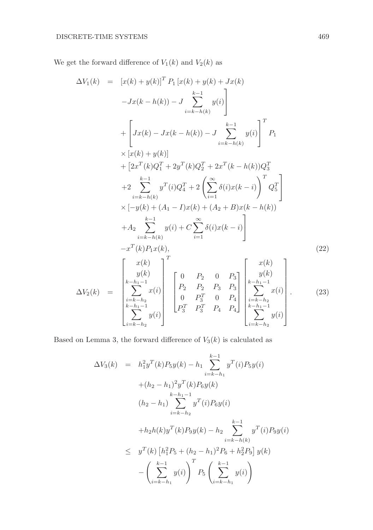We get the forward difference of  $V_1(k)$  and  $V_2(k)$  as

$$
\Delta V_1(k) = [x(k) + y(k)]^T P_1 [x(k) + y(k) + Jx(k)]
$$
  
\n
$$
-Jx(k - h(k)) - J \sum_{i=k-h(k)}^{k-1} y(i)
$$
  
\n
$$
+ \left[ Jx(k) - Jx(k - h(k)) - J \sum_{i=k-h(k)}^{k-1} y(i) \right]^T P_1
$$
  
\n
$$
\times [x(k) + y(k)]
$$
  
\n
$$
+ [2x^T(k)Q_1^T + 2y^T(k)Q_2^T + 2x^T(k - h(k))Q_3^T
$$
  
\n
$$
+ 2 \sum_{i=k-h(k)}^{k-1} y^T(i)Q_4^T + 2 \left( \sum_{i=1}^{\infty} \delta(i)x(k - i) \right)^T Q_5^T
$$
  
\n
$$
\times [-y(k) + (A_1 - I)x(k) + (A_2 + B)x(k - h(k))]
$$
  
\n
$$
+ A_2 \sum_{i=k-h(k)}^{k-1} y(i) + C \sum_{i=1}^{\infty} \delta(i)x(k - i)
$$
  
\n
$$
-x^T(k)P_1x(k),
$$
  
\n
$$
\Delta V_2(k) = \begin{bmatrix} x(k) \\ y(k) \\ \sum_{i=k-h_1-1}^{k-h_1-1} x(i) \\ \sum_{i=k-h_2-1}^{k-h_1-1} y(i) \end{bmatrix} \begin{bmatrix} 0 & P_2 & 0 & P_3 \\ P_2 & P_2 & P_3 & P_3 \\ 0 & P_3^T & 0 & P_4 \\ P_5^T & P_4^T & P_4 & P_4 \end{bmatrix} \begin{bmatrix} x(k) \\ y(k) \\ \sum_{i=k-h_2-1}^{k-h_1-1} x(i) \\ \sum_{i=k-h_2-1}^{k-h_1-1} y(i) \end{bmatrix}.
$$
 (23)

Based on Lemma 3, the forward difference of  $V_3(k)$  is calculated as

$$
\Delta V_3(k) = h_1^2 y^T(k) P_5 y(k) - h_1 \sum_{i=k-h_1}^{k-1} y^T(i) P_5 y(i)
$$
  
+  $(h_2 - h_1)^2 y^T(k) P_6 y(k)$   

$$
h_2 - h_1 \sum_{i=k-h_2}^{k-h_1-1} y^T(i) P_6 y(i)
$$
  
+  $h_2 h(k) y^T(k) P_9 y(k) - h_2 \sum_{i=k-h(k)}^{k-1} y^T(i) P_9 y(i)$   

$$
\leq y^T(k) [h_1^2 P_5 + (h_2 - h_1)^2 P_6 + h_2^2 P_9] y(k)
$$
  
-  $\left(\sum_{i=k-h_1}^{k-1} y(i)\right)^T P_5 \left(\sum_{i=k-h_1}^{k-1} y(i)\right)$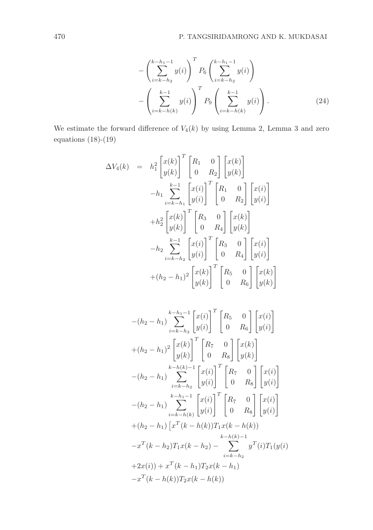$$
-\left(\sum_{i=k-h_2}^{k-h_1-1} y(i)\right)^T P_6 \left(\sum_{i=k-h_2}^{k-h_1-1} y(i)\right)
$$

$$
-\left(\sum_{i=k-h(k)}^{k-1} y(i)\right)^T P_9 \left(\sum_{i=k-h(k)}^{k-1} y(i)\right).
$$
(24)

We estimate the forward difference of  $V_4(k)$  by using Lemma 2, Lemma 3 and zero equations (18)-(19)

$$
\Delta V_4(k) = h_1^2 \begin{bmatrix} x(k) \\ y(k) \end{bmatrix}^T \begin{bmatrix} R_1 & 0 \\ 0 & R_2 \end{bmatrix} \begin{bmatrix} x(k) \\ y(k) \end{bmatrix}
$$

$$
-h_1 \sum_{i=k-h_1}^{k-1} \begin{bmatrix} x(i) \\ y(i) \end{bmatrix}^T \begin{bmatrix} R_1 & 0 \\ 0 & R_2 \end{bmatrix} \begin{bmatrix} x(i) \\ y(i) \end{bmatrix}
$$

$$
+h_2^2 \begin{bmatrix} x(k) \\ y(k) \end{bmatrix}^T \begin{bmatrix} R_3 & 0 \\ 0 & R_4 \end{bmatrix} \begin{bmatrix} x(k) \\ y(k) \end{bmatrix}
$$

$$
-h_2 \sum_{i=k-h_2}^{k-1} \begin{bmatrix} x(i) \\ y(i) \end{bmatrix}^T \begin{bmatrix} R_3 & 0 \\ 0 & R_4 \end{bmatrix} \begin{bmatrix} x(i) \\ y(i) \end{bmatrix}
$$

$$
+ (h_2 - h_1)^2 \begin{bmatrix} x(k) \\ y(k) \end{bmatrix}^T \begin{bmatrix} R_5 & 0 \\ 0 & R_6 \end{bmatrix} \begin{bmatrix} x(k) \\ y(k) \end{bmatrix}
$$

$$
-(h_{2} - h_{1}) \sum_{i=k-h_{2}}^{k-h_{1}-1} \begin{bmatrix} x(i) \\ y(i) \end{bmatrix}^{T} \begin{bmatrix} R_{5} & 0 \\ 0 & R_{6} \end{bmatrix} \begin{bmatrix} x(i) \\ y(i) \end{bmatrix}
$$
  
+  $(h_{2} - h_{1})^{2} \begin{bmatrix} x(k) \\ y(k) \end{bmatrix}^{T} \begin{bmatrix} R_{7} & 0 \\ 0 & R_{8} \end{bmatrix} \begin{bmatrix} x(k) \\ y(k) \end{bmatrix}$   
-  $(h_{2} - h_{1}) \sum_{i=k-h_{2}}^{k-h_{k}-1} \begin{bmatrix} x(i) \\ y(i) \end{bmatrix}^{T} \begin{bmatrix} R_{7} & 0 \\ 0 & R_{8} \end{bmatrix} \begin{bmatrix} x(i) \\ y(i) \end{bmatrix}$   
-  $(h_{2} - h_{1}) \sum_{i=k-h(k)}^{k-h_{1}-1} \begin{bmatrix} x(i) \\ y(i) \end{bmatrix}^{T} \begin{bmatrix} R_{7} & 0 \\ 0 & R_{8} \end{bmatrix} \begin{bmatrix} x(i) \\ y(i) \end{bmatrix}$   
+  $(h_{2} - h_{1}) \begin{bmatrix} x^{T}(k-h(k))T_{1}x(k-h(k)) \\ x^{K-h(k)-1} \\ x^{K-h(k)-1} \end{bmatrix}$   
+  $2x(i) + x^{T}(k - h_{1})T_{2}x(k - h_{1})$   
-  $x^{T}(k - h(k))T_{2}x(k - h(k))$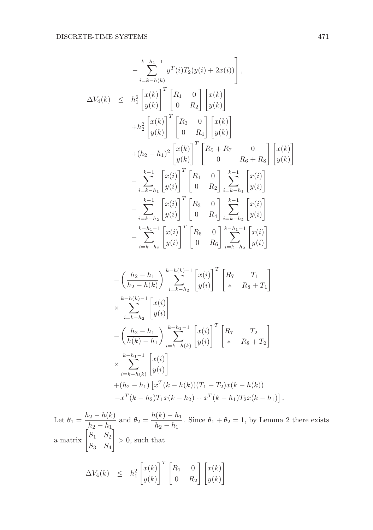$$
-\sum_{i=k-h(k)}^{k-h_1-1} y^T(i)T_2(y(i) + 2x(i)) \Bigg],
$$
  
\n
$$
\Delta V_4(k) \leq h_1^2 \begin{bmatrix} x(k) \\ y(k) \end{bmatrix}^T \begin{bmatrix} R_1 & 0 \\ 0 & R_2 \end{bmatrix} \begin{bmatrix} x(k) \\ y(k) \end{bmatrix} + h_2^2 \begin{bmatrix} x(k) \\ y(k) \end{bmatrix}^T \begin{bmatrix} R_3 & 0 \\ 0 & R_4 \end{bmatrix} \begin{bmatrix} x(k) \\ y(k) \end{bmatrix} + (h_2 - h_1)^2 \begin{bmatrix} x(k) \\ y(k) \end{bmatrix}^T \begin{bmatrix} R_3 & 0 \\ 0 & R_4 \end{bmatrix} \begin{bmatrix} x(k) \\ y(k) \end{bmatrix} - \sum_{i=k-h_1}^{k-1} \begin{bmatrix} x(i) \\ y(i) \end{bmatrix}^T \begin{bmatrix} R_1 & 0 \\ 0 & R_2 \end{bmatrix} \sum_{i=k-h_2}^{k-1} \begin{bmatrix} x(i) \\ y(i) \end{bmatrix}^T - \sum_{i=k-h_2}^{k-1} \begin{bmatrix} x(i) \\ y(i) \end{bmatrix}^T \begin{bmatrix} R_3 & 0 \\ 0 & R_4 \end{bmatrix} \sum_{i=k-h_2}^{k-1} \begin{bmatrix} x(i) \\ y(i) \end{bmatrix} - \sum_{i=k-h_2}^{k-h_1-1} \begin{bmatrix} x(i) \\ y(i) \end{bmatrix}^T \begin{bmatrix} R_3 & 0 \\ 0 & R_6 \end{bmatrix} \sum_{i=k-h_2}^{k-h_1-1} \begin{bmatrix} x(i) \\ y(i) \end{bmatrix} - \left(\frac{h_2 - h_1}{h_2 - h(k)}\right) \sum_{i=k-h_2}^{k-h_1-1} \begin{bmatrix} x(i) \\ y(i) \end{bmatrix}^T \begin{bmatrix} R_7 & T_1 \\ * & R_8 + T_1 \end{bmatrix} + \sum_{i=k-h_2}^{k-h_1-1} \begin{bmatrix} x(i) \\ y(i) \end{bmatrix}^T \begin{bmatrix} R_7 & T_2 \\ * & R_8 + T_2 \end{bmatrix} + \sum_{i=k-h_1}^{k-h_1-1} \begin{bmatrix} x(i) \\ y(i) \end{b
$$

Let  $\theta_1 = \frac{h_2 - h(k)}{h}$  $\frac{h_2 - h(k)}{h_2 - h_1}$  and  $\theta_2 = \frac{h(k) - h_1}{h_2 - h_1}$  $\frac{\lambda_1 \lambda_2 - \lambda_1}{h_2 - h_1}$ . Since  $\theta_1 + \theta_2 = 1$ , by Lemma 2 there exists a matrix  $\begin{bmatrix} S_1 & S_2 \\ 0 & 0 \end{bmatrix}$  $S_3$   $S_4$ 1  $> 0$ , such that

$$
\Delta V_4(k) \leq h_1^2 \begin{bmatrix} x(k) \\ y(k) \end{bmatrix}^T \begin{bmatrix} R_1 & 0 \\ 0 & R_2 \end{bmatrix} \begin{bmatrix} x(k) \\ y(k) \end{bmatrix}
$$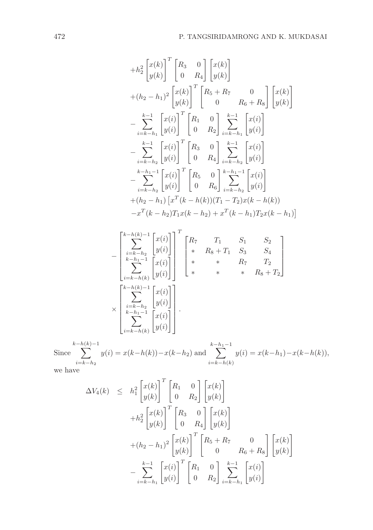$$
+h_{2}^{2}\begin{bmatrix}x(k) \ y(k)\end{bmatrix}^{T}\begin{bmatrix}R_{3} & 0 \ 0 & R_{4}\end{bmatrix}\begin{bmatrix}x(k) \ y(k)\end{bmatrix} + (h_{2} - h_{1})^{2}\begin{bmatrix}x(k) \ y(k)\end{bmatrix}^{T}\begin{bmatrix}R_{5} + R_{7} & 0 \ 0 & R_{6} + R_{8}\end{bmatrix}\begin{bmatrix}x(k) \ y(k)\end{bmatrix} - \sum_{i=k-h_{1}}^{k-1}\begin{bmatrix}x(i) \ y(i)\end{bmatrix}^{T}\begin{bmatrix}R_{1} & 0 \ 0 & R_{2}\end{bmatrix}\begin{bmatrix}k-1 \ 2 \ k-k-h_{1}}^{k-1}\begin{bmatrix}x(i) \ y(i)\end{bmatrix}^{T} - \sum_{i=k-h_{1}}^{k-1}\begin{bmatrix}x(i) \ y(i)\end{bmatrix}^{T}\begin{bmatrix}R_{3} & 0 \ 0 & R_{4}\end{bmatrix}\begin{bmatrix}k-1 \ k-k-h_{2}\end{bmatrix}\begin{bmatrix}x(i) \ y(i)\end{bmatrix}^{T} - \sum_{i=k-h_{2}}^{k-h_{1}-1}\begin{bmatrix}x(i) \ y(i)\end{bmatrix}^{T}\begin{bmatrix}R_{5} & 0 \ 0 & R_{6}\end{bmatrix}\begin{bmatrix}k-1 \ k-k-h_{2}\end{bmatrix}\begin{bmatrix}x(i) \ y(i)\end{bmatrix} + (h_{2} - h_{1})\begin{bmatrix}x(k-1)(k) \end{bmatrix}^{T}\begin{bmatrix}R_{5} & 0 \ 0 & R_{6}\end{bmatrix}\begin{bmatrix}k-1 \ k-k-h_{2}\end{bmatrix}\begin{bmatrix}x(i) \ y(i)\end{bmatrix} + (h_{2} - h_{1})\begin{bmatrix}x(k-1)(k) \end{bmatrix}\begin{bmatrix}x(k-1) \end{bmatrix}^{T}\begin{bmatrix}R_{6} & 0 \ R_{6}\end{bmatrix}\begin{bmatrix}k-1 \ k-k-h_{2}\end{bmatrix}\begin{bmatrix}x(i) \ y(i)\end{bmatrix}^{T}\begin{bmatrix}R_{7} & T_{1} & S_{1} & S_{2} \ * & R_{8} + T_{1} & S_{3} & S_{4} \ k-h_{1}-1 & K_{2} & K_{3} + T_{1} & S_{3} & S_{4} \ k-k-h_{2}-1 & K_{4} & K_{
$$

Since  $\sum$  $i=k-h_2$  $y(i) = x(k-h(k)) - x(k-h_2)$  and  $\sum$  $i=k-h(k)$  $y(i) = x(k-h_1) - x(k-h(k)),$ 

we have

$$
\Delta V_4(k) \leq h_1^2 \begin{bmatrix} x(k) \\ y(k) \end{bmatrix}^T \begin{bmatrix} R_1 & 0 \\ 0 & R_2 \end{bmatrix} \begin{bmatrix} x(k) \\ y(k) \end{bmatrix} + h_2^2 \begin{bmatrix} x(k) \\ y(k) \end{bmatrix}^T \begin{bmatrix} R_3 & 0 \\ 0 & R_4 \end{bmatrix} \begin{bmatrix} x(k) \\ y(k) \end{bmatrix} + (h_2 - h_1)^2 \begin{bmatrix} x(k) \\ y(k) \end{bmatrix}^T \begin{bmatrix} R_5 + R_7 & 0 \\ 0 & R_6 + R_8 \end{bmatrix} \begin{bmatrix} x(k) \\ y(k) \end{bmatrix} - \sum_{i=k-h_1}^{k-1} \begin{bmatrix} x(i) \\ y(i) \end{bmatrix}^T \begin{bmatrix} R_1 & 0 \\ 0 & R_2 \end{bmatrix} \sum_{i=k-h_1}^{k-1} \begin{bmatrix} x(i) \\ y(i) \end{bmatrix}
$$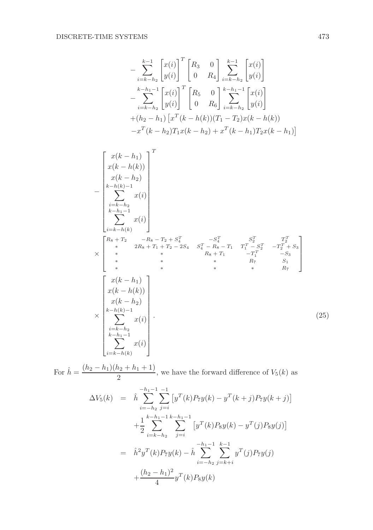$$
-\sum_{i=k-h_2}^{k-1} \begin{bmatrix} x(i) \\ y(i) \end{bmatrix}^T \begin{bmatrix} R_3 & 0 \\ 0 & R_4 \end{bmatrix} \sum_{i=k-h_2}^{k-1} \begin{bmatrix} x(i) \\ y(i) \end{bmatrix} - \sum_{i=k-h_2}^{k-h_1-1} \begin{bmatrix} x(i) \\ y(i) \end{bmatrix}^T \begin{bmatrix} R_5 & 0 \\ 0 & R_6 \end{bmatrix} \sum_{i=k-h_2}^{k-h_1-1} \begin{bmatrix} x(i) \\ y(i) \end{bmatrix} + (h_2 - h_1) \begin{bmatrix} x^T(k-h(k))(T_1 - T_2)x(k-h(k)) \\ -x^T(k-h_2)T_1x(k-h_2) + x^T(k-h_1)T_2x(k-h_1) \end{bmatrix}
$$

$$
\begin{bmatrix}\nx(k-h_1) \\
x(k-h(k)) \\
x(k-h_2) \\
\vdots \\
k-h_1-1 \\
\vdots \\
k-h(k)\n\end{bmatrix}^T
$$
\n
$$
-\begin{bmatrix}\nx(k-h_2) \\
k-h_1-1 \\
\vdots \\
k-h_{n-1}\n\end{bmatrix}
$$
\n
$$
x(i)
$$
\n
$$
\times \begin{bmatrix}\nR_8 + T_2 & -R_8 - T_2 + S_4^T & -S_4^T & S_2^T & T_2^T \\
\vdots & \ddots & 2R_8 + T_1 + T_2 - 2S_4 & S_4^T - R_8 - T_1 & T_1^T - S_2^T & -T_2^T + S_3 \\
\vdots & \ddots & \ddots & \ddots & R_8 + T_1 & -T_1^T & -S_3 \\
\vdots & \ddots & \ddots & \ddots & \ddots & \ddots & \vdots \\
\vdots & \ddots & \ddots & \ddots & \ddots & \ddots & \vdots \\
x(k-h_1) \\
x(k-h_2) \\
\vdots \\
x(k-h_2) \\
k-h_1-1 \\
\vdots \\
k-h_1-1\n\end{bmatrix}
$$
\n
$$
\times \begin{bmatrix}\nx(k-h_1) \\
x(k-h_2) \\
\vdots \\
k-h_1-1 \\
k-h_1-1 \\
\vdots \\
k-h_k\n\end{bmatrix}.
$$
\n(25)

For  $\hat{h} = \frac{(h_2 - h_1)(h_2 + h_1 + 1)}{2}$  $\frac{k_2 + k_1 + 1}{2}$ , we have the forward difference of  $V_5(k)$  as

$$
\Delta V_5(k) = \hat{h} \sum_{i=-h_2}^{-h_1-1} \sum_{j=i}^{-1} \left[ y^T(k) P_7 y(k) - y^T(k+j) P_7 y(k+j) \right]
$$
  
+ 
$$
\frac{1}{2} \sum_{i=k-h_2}^{k-h_1-1} \sum_{j=i}^{k-h_1-1} \left[ y^T(k) P_8 y(k) - y^T(j) P_8 y(j) \right]
$$
  
= 
$$
\hat{h}^2 y^T(k) P_7 y(k) - \hat{h} \sum_{i=-h_2}^{-h_1-1} \sum_{j=k+i}^{k-1} y^T(j) P_7 y(j)
$$
  
+ 
$$
\frac{(h_2 - h_1)^2}{4} y^T(k) P_8 y(k)
$$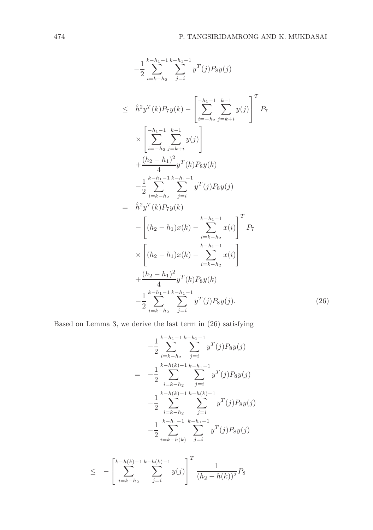$$
-\frac{1}{2} \sum_{i=k-h_2}^{k-h_1-1} \sum_{j=i}^{k-h_1-1} y^T(j) P_{8} y(j)
$$
  
\n
$$
\leq \hat{h}^2 y^T(k) P_{7} y(k) - \left[ \sum_{i=-h_2}^{-h_1-1} \sum_{j=k+i}^{k-1} y(j) \right]^T P_{7}
$$
  
\n
$$
\times \left[ \sum_{i=-h_2}^{-h_1-1} \sum_{j=k+i}^{k-1} y(j) \right]
$$
  
\n
$$
+ \frac{(h_2 - h_1)^2}{4} y^T(k) P_{8} y(k)
$$
  
\n
$$
- \frac{1}{2} \sum_{i=k-h_2}^{k-h_1-1} \sum_{j=i}^{k-h_1-1} y^T(j) P_{8} y(j)
$$
  
\n
$$
= \hat{h}^2 y^T(k) P_{7} y(k)
$$
  
\n
$$
- \left[ (h_2 - h_1) x(k) - \sum_{i=k-h_2}^{k-h_1-1} x(i) \right]^T P_{7}
$$
  
\n
$$
\times \left[ (h_2 - h_1) x(k) - \sum_{i=k-h_2}^{k-h_1-1} x(i) \right]
$$
  
\n
$$
+ \frac{(h_2 - h_1)^2}{4} y^T(k) P_{8} y(k)
$$
  
\n
$$
- \frac{1}{2} \sum_{i=k-h_2}^{k-h_1-1} \sum_{j=i}^{k-h_1-1} y^T(j) P_{8} y(j).
$$
 (26)

Based on Lemma 3, we derive the last term in (26) satisfying

$$
-\frac{1}{2} \sum_{i=k-h_2}^{k-h_1-1} \sum_{j=i}^{k-h_1-1} y^T(j) P_8 y(j)
$$
  
= 
$$
-\frac{1}{2} \sum_{i=k-h_2}^{k-h(k)-1} \sum_{j=i}^{k-h_1-1} y^T(j) P_8 y(j)
$$
  

$$
-\frac{1}{2} \sum_{i=k-h_2}^{k-h(k)-1} \sum_{j=i}^{k-h_1-1} y^T(j) P_8 y(j)
$$
  

$$
-\frac{1}{2} \sum_{i=k-h(k)}^{k-h_1-1} \sum_{j=i}^{k-h_1-1} y^T(j) P_8 y(j)
$$

$$
\leq -\left[\sum_{i=k-h_2}^{k-h(k)-1}\sum_{j=i}^{k-h(k)-1}y(j)\right]^T\frac{1}{(h_2-h(k))^2}P_8
$$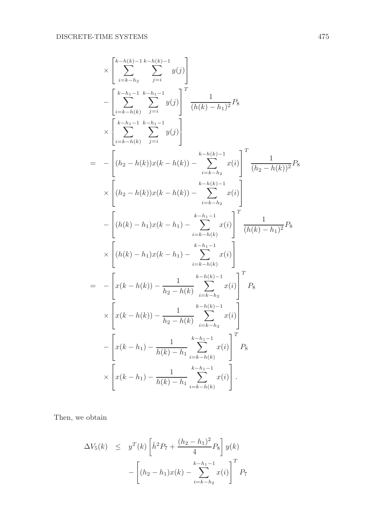$$
\times \left[ \sum_{i=k-h_2}^{k-h(k)-1} \sum_{j=i}^{k-h_2-1} y(j) \right] \n- \left[ \sum_{i=k-h_2}^{k-h_2-1} \sum_{j=i}^{k-h_2-1} y(j) \right]^T \frac{1}{(h(k)-h_1)^2} P_8 \n\times \left[ \sum_{i=k-h(k)}^{k-h_2-1} \sum_{j=i}^{k-h_2-1} y(j) \right] \n= - \left[ (h_2 - h(k))x(k-h(k)) - \sum_{i=k-h_2}^{k-h(k)-1} x(i) \right]^T \frac{1}{(h_2 - h(k))^2} P_8 \n\times \left[ (h_2 - h(k))x(k-h(k)) - \sum_{i=k-h_2}^{k-h(k)-1} x(i) \right] \n- \left[ (h(k)-h_1)x(k-h_1) - \sum_{i=k-h(k)}^{k-h_2-1} x(i) \right]^T \frac{1}{(h(k)-h_1)^2} P_8 \n\times \left[ (h(k)-h_1)x(k-h_1) - \sum_{i=k-h(k)}^{k-h_2-1} x(i) \right]^T P_8 \n\times \left[ x(k-h(k)) - \frac{1}{h_2 - h(k)} \sum_{i=k-h_2}^{k-h_2-1} x(i) \right]^T P_8 \n\times \left[ x(k-h(k)) - \frac{1}{h_2 - h(k)} \sum_{i=k-h_2}^{k-h_2-1} x(i) \right]^T P_8 \n\times \left[ x(k-h_1) - \frac{1}{h(k)-h_1} \sum_{i=k-h(k)}^{k-h_1-1} x(i) \right]^T P_8 \n\times \left[ x(k-h_1) - \frac{1}{h(k)-h_1} \sum_{i=k-h(k)}^{k-h_1-1} x(i) \right].
$$

Then, we obtain

$$
\Delta V_5(k) \leq y^T(k) \left[ \hat{h}^2 P_7 + \frac{(h_2 - h_1)^2}{4} P_8 \right] y(k)
$$

$$
- \left[ (h_2 - h_1) x(k) - \sum_{i=k-h_2}^{k-h_1-1} x(i) \right]^T P_7
$$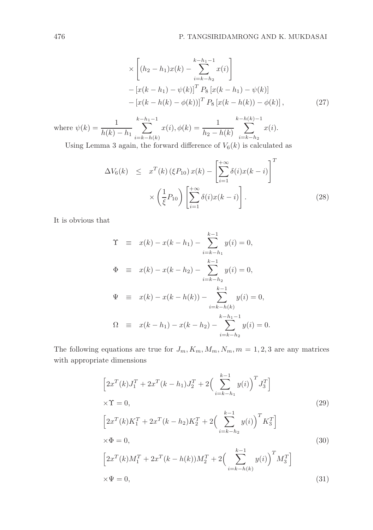$$
\times \left[ (h_2 - h_1)x(k) - \sum_{i=k-h_2}^{k-h_1-1} x(i) \right]
$$
  
 
$$
- [x(k-h_1) - \psi(k)]^T P_8 [x(k-h_1) - \psi(k)]
$$
  
 
$$
- [x(k-h(k) - \phi(k))]^T P_8 [x(k-h(k)) - \phi(k)],
$$
 (27)

where 
$$
\psi(k) = \frac{1}{h(k) - h_1} \sum_{i=k-h(k)}^{k-h_1-1} x(i), \phi(k) = \frac{1}{h_2 - h(k)} \sum_{i=k-h_2}^{k-h(k)-1} x(i).
$$

Using Lemma 3 again, the forward difference of  $V_6(k)$  is calculated as

$$
\Delta V_6(k) \leq x^T(k) \left(\xi P_{10}\right) x(k) - \left[\sum_{i=1}^{+\infty} \delta(i) x(k-i)\right]^T
$$

$$
\times \left(\frac{1}{\xi} P_{10}\right) \left[\sum_{i=1}^{+\infty} \delta(i) x(k-i)\right]. \tag{28}
$$

It is obvious that

$$
\begin{array}{rcl}\n\Upsilon & \equiv & x(k) - x(k - h_1) - \sum_{i=k-h_1}^{k-1} y(i) = 0, \\
\Phi & \equiv & x(k) - x(k - h_2) - \sum_{i=k-h_2}^{k-1} y(i) = 0, \\
\Psi & \equiv & x(k) - x(k - h(k)) - \sum_{i=k-h(k)}^{k-1} y(i) = 0, \\
\Omega & \equiv & x(k - h_1) - x(k - h_2) - \sum_{i=k-h_2}^{k-h_1-1} y(i) = 0.\n\end{array}
$$

The following equations are true for  $J_m, K_m, M_m, N_m, m = 1, 2, 3$  are any matrices with appropriate dimensions

$$
\[2x^{T}(k)J_{1}^{T} + 2x^{T}(k - h_{1})J_{2}^{T} + 2\left(\sum_{i=k-h_{1}}^{k-1} y(i)\right)^{T}J_{3}^{T}\]
$$
\n
$$
\times \Upsilon = 0,
$$
\n
$$
\[2x^{T}(k)K_{1}^{T} + 2x^{T}(k - h_{2})K_{2}^{T} + 2\left(\sum_{i=k-h_{2}}^{k-1} y(i)\right)^{T}K_{3}^{T}\]
$$
\n
$$
\times \Phi = 0,
$$
\n
$$
\[2x^{T}(k)M_{1}^{T} + 2x^{T}(k - h(k))M_{2}^{T} + 2\left(\sum_{i=k-h(k)}^{k-1} y(i)\right)^{T}M_{3}^{T}\]
$$
\n
$$
\times \Psi = 0,
$$
\n(31)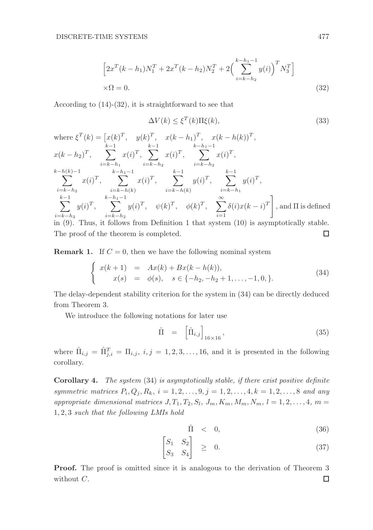$$
\[2x^{T}(k-h_{1})N_{1}^{T} + 2x^{T}(k-h_{2})N_{2}^{T} + 2\left(\sum_{i=k-h_{2}}^{k-h_{1}-1} y(i)\right)^{T} N_{3}^{T}\]
$$
  

$$
\times \Omega = 0.
$$
 (32)

According to (14)-(32), it is straightforward to see that

$$
\Delta V(k) \le \xi^T(k)\Pi\xi(k),\tag{33}
$$

where 
$$
\xi^T(k) = [x(k)^T, y(k)^T, x(k - h_1)^T, x(k - h(k))^T,
$$
  
\n $x(k - h_2)^T, \sum_{i=k-h_1}^{k-1} x(i)^T, \sum_{i=k-h_2}^{k-1} x(i)^T, \sum_{i=k-h_1}^{k-h_1-1} x(i)^T,$   
\n $x(k - h_2)^T, \sum_{k=h_1}^{k-h_1-1} x(i)^T, \sum_{i=k-h_k}^{k-1} x(i)^T, \sum_{i=k-h_k}^{k-1} y(i)^T,$   
\n $x(k - h_1)^T, \sum_{k=h_1-1}^{k-h_1-1} x(k)^T, \sum_{i=k-h_k}^{k-1} y(i)^T, \sum_{i=k-h_1}^{k-1} y(i)^T,$   
\n $x(k - h_2)^T, x(k - h_1)^T, x(k - h_2)^T$   
\n $x(k - h_1)^T, x(k - h_2)^T, y(k - h_1)^T$   
\n $x(k - h_2)^T, x(k - h_2)^T$   
\n $x(k - h_1)^T, x(k - h_1)^T, y(k - h_2)^T$   
\n $x(k - h_1)^T, x(k - h_1)^T, y(k - h_2)^T$   
\n $x(k - h_1)^T, x(k - h_1)^T, y(k - h_1)^T$   
\n $x(k - h_1)^T, x(k - h_1)^T, x(k - h_1)^T$   
\n $x(k - h_1)^T, x(k - h_1)^T, x(k - h_1)^T, x(k - h_1)^T$   
\n $x(k - h_1)^T, x(k - h_1)^T, x(k - h_1)^T, x(k - h_1)^T$   
\n $x(k - h_1)^T, x(k - h_1)^T, x(k - h_1)^T, x(k - h_1)^T$   
\n $x(k - h_2)^T, x(k - h_2)^T, x(k - h_2)^T, x(k - h_2)^T$   
\n $y(k)^T, x(k - h_1)^T, y(k)^T, y(k)^T, y(k)^T, y(k)^T$   
\n $x(k - h_1)^T, y(k)^T, y(k)^T, y(k)^T, y(k)^T$   
\n $x(k - h_1)^T, y(k)^T, y(k)^$ 

The proof of the theorem is completed.

**Remark 1.** If  $C = 0$ , then we have the following nominal system

$$
\begin{cases}\nx(k+1) = Ax(k) + Bx(k-h(k)), \\
x(s) = \phi(s), \quad s \in \{-h_2, -h_2+1, \dots, -1, 0, \}.\n\end{cases}
$$
\n(34)

The delay-dependent stability criterion for the system in (34) can be directly deduced from Theorem 3.

We introduce the following notations for later use

$$
\hat{\Pi} = \left[ \hat{\Pi}_{i,j} \right]_{16 \times 16}, \tag{35}
$$

where  $\hat{\Pi}_{i,j} = \hat{\Pi}_{j,i}^T = \Pi_{i,j}, i,j = 1,2,3,\ldots,16$ , and it is presented in the following corollary.

Corollary 4. *The system* (34) *is asymptotically stable, if there exist positive definite symmetric matrices*  $P_i, Q_j, R_k, i = 1, 2, ..., 9, j = 1, 2, ..., 4, k = 1, 2, ..., 8$  and any appropriate dimensional matrices  $J, T_1, T_2, S_l, J_m, K_m, M_m, N_m, l = 1, 2, \ldots, 4, m =$ 1, 2, 3 *such that the following LMIs hold*

$$
\hat{\Pi} < 0,\tag{36}
$$

$$
\begin{bmatrix} S_1 & S_2 \\ S_3 & S_4 \end{bmatrix} \quad \geq \quad 0. \tag{37}
$$

Proof. The proof is omitted since it is analogous to the derivation of Theorem 3 without  $C$ .  $\Box$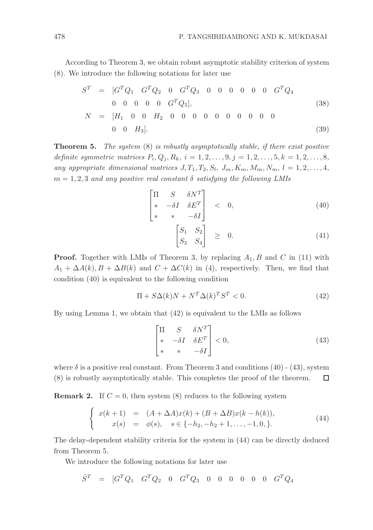According to Theorem 3, we obtain robust asymptotic stability criterion of system (8). We introduce the following notations for later use

$$
S^{T} = [G^{T}Q_{1} G^{T}Q_{2} 0 G^{T}Q_{3} 0 0 0 0 0 G^{T}Q_{4}
$$
  
\n0 0 0 0 0 G^{T}Q\_{5}], (38)  
\n
$$
N = [H_{1} 0 0 H_{2} 0 0 0 0 0 0 0 0 0 0
$$
  
\n0 0 H\_{3}]. (39)

Theorem 5. *The system* (8) *is robustly asymptotically stable, if there exist positive definite symmetric matrices*  $P_i, Q_j, R_k, i = 1, 2, ..., 9, j = 1, 2, ..., 5, k = 1, 2, ..., 8,$ any appropriate dimensional matrices  $J, T_1, T_2, S_l, J_m, K_m, M_m, N_m, l = 1, 2, \ldots, 4$ ,  $m = 1, 2, 3$  *and any positive real constant*  $\delta$  *satisfying the following LMIs* 

$$
\begin{bmatrix}\n\Pi & S & \delta N^T \\
* & -\delta I & \delta E^T \\
* & * & -\delta I\n\end{bmatrix} < 0,\n\tag{40}
$$

$$
\begin{bmatrix} S_1 & S_2 \\ S_3 & S_4 \end{bmatrix} \geq 0. \tag{41}
$$

**Proof.** Together with LMIs of Theorem 3, by replacing  $A_1$ , B and C in (11) with  $A_1 + \Delta A(k), B + \Delta B(k)$  and  $C + \Delta C(k)$  in (4), respectively. Then, we find that condition (40) is equivalent to the following condition

$$
\Pi + S\Delta(k)N + N^T \Delta(k)^T S^T < 0. \tag{42}
$$

By using Lemma 1, we obtain that (42) is equivalent to the LMIs as follows

$$
\begin{bmatrix} \Pi & S & \delta N^T \\ * & -\delta I & \delta E^T \\ * & * & -\delta I \end{bmatrix} < 0,\tag{43}
$$

where  $\delta$  is a positive real constant. From Theorem 3 and conditions (40) - (43), system (8) is robustly asymptotically stable. This completes the proof of the theorem. □

**Remark 2.** If  $C = 0$ , then system (8) reduces to the following system

$$
\begin{cases}\nx(k+1) = (A + \Delta A)x(k) + (B + \Delta B)x(k - h(k)), \\
x(s) = \phi(s), \quad s \in \{-h_2, -h_2 + 1, \dots, -1, 0, \}.\n\end{cases}
$$
\n(44)

The delay-dependent stability criteria for the system in (44) can be directly deduced from Theorem 5.

We introduce the following notations for later use

 $\hat{S}^T$  = [ $G^TQ_1$   $G^TQ_2$  0  $G^TQ_3$  0 0 0 0 0 0  $G^TQ_4$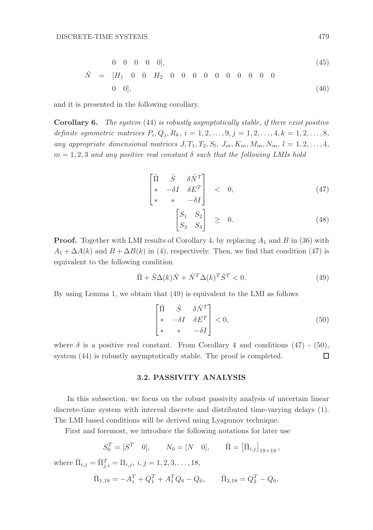$$
0 \quad 0 \quad 0 \quad 0 \quad 0], \tag{45}
$$

$$
\hat{N} = [H_1 \ 0 \ 0 \ H_2 \ 0 \ 0 \ 0 \ 0 \ 0 \ 0 \ 0 \ 0 \ 0 \ 0 \tag{46}
$$
\n
$$
0 \ 0],
$$

and it is presented in the following corollary.

Corollary 6. *The system* (44) *is robustly asymptotically stable, if there exist positive definite symmetric matrices*  $P_i, Q_j, R_k, i = 1, 2, ..., 9, j = 1, 2, ..., 4, k = 1, 2, ..., 8,$ any appropriate dimensional matrices  $J, T_1, T_2, S_l, J_m, K_m, M_m, N_m, l = 1, 2, \ldots, 4$ ,  $m = 1, 2, 3$  *and any positive real constant*  $\delta$  *such that the following LMIs hold* 

$$
\begin{bmatrix} \hat{\Pi} & \hat{S} & \delta \hat{N}^T \\ * & -\delta I & \delta E^T \\ * & * & -\delta I \end{bmatrix} < 0,\tag{47}
$$

$$
\begin{bmatrix} S_1 & S_2 \\ S_3 & S_4 \end{bmatrix} \geq 0. \tag{48}
$$

**Proof.** Together with LMI results of Corollary 4, by replacing  $A_1$  and B in (36) with  $A_1 + \Delta A(k)$  and  $B + \Delta B(k)$  in (4), respectively. Then, we find that condition (47) is equivalent to the following condition

$$
\hat{\Pi} + \hat{S}\Delta(k)\hat{N} + \hat{N}^T\Delta(k)^T\hat{S}^T < 0. \tag{49}
$$

By using Lemma 1, we obtain that (49) is equivalent to the LMI as follows

$$
\begin{bmatrix} \hat{\Pi} & \hat{S} & \delta \hat{N}^T \\ * & -\delta I & \delta E^T \\ * & * & -\delta I \end{bmatrix} < 0,\tag{50}
$$

where  $\delta$  is a positive real constant. From Corollary 4 and conditions (47) - (50), system (44) is robustly asymptotically stable. The proof is completed.  $\Box$ 

# 3.2. PASSIVITY ANALYSIS

In this subsection, we focus on the robust passivity analysis of uncertain linear discrete-time system with interval discrete and distributed time-varying delays (1). The LMI based conditions will be derived using Lyapunov technique.

First and foremost, we introduce the following notations for later use

$$
S_0^T = [S^T \quad 0], \qquad N_0 = [N \quad 0], \qquad \bar{\Pi} = \left[\bar{\Pi}_{i,j}\right]_{18 \times 18},
$$

where  $\bar{\Pi}_{i,j} = \bar{\Pi}_{j,i}^T = \Pi_{i,j}, i, j = 1, 2, 3, \dots, 18,$ 

$$
\bar{\Pi}_{1,18} = -A_z^T + Q_1^T + A_1^T Q_6 - Q_6, \qquad \bar{\Pi}_{2,18} = Q_2^T - Q_6,
$$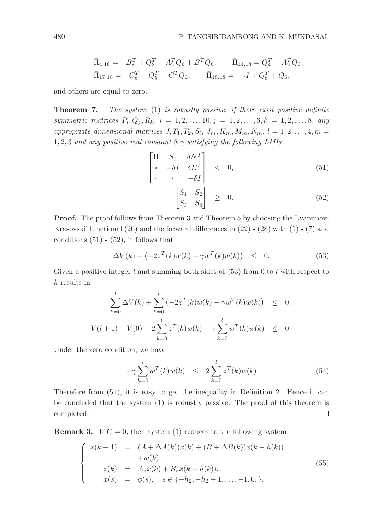$$
\begin{aligned}\n\bar{\Pi}_{4,18} &= -B_z^T + Q_3^T + A_2^T Q_6 + B^T Q_6, & \bar{\Pi}_{11,18} &= Q_4^T + A_2^T Q_6, \\
\bar{\Pi}_{17,18} &= -C_z^T + Q_5^T + C^T Q_6, & \bar{\Pi}_{18,18} &= -\gamma I + Q_6^T + Q_6,\n\end{aligned}
$$

and others are equal to zero.

Theorem 7. *The system* (1) *is robustly passive, if there exist positive definite symmetric matrices*  $P_i, Q_j, R_k, i = 1, 2, ..., 10, j = 1, 2, ..., 6, k = 1, 2, ..., 8,$  any appropriate dimensional matrices  $J, T_1, T_2, S_l, J_m, K_m, M_m, N_m, l = 1, 2, \ldots, 4, m =$ 1, 2, 3 *and any positive real constant* δ, γ *satisfying the following LMIs*

$$
\begin{bmatrix} \bar{\Pi} & S_0 & \delta N_0^T \\ * & -\delta I & \delta E^T \\ * & * & -\delta I \end{bmatrix} < 0,\tag{51}
$$

$$
\begin{bmatrix} S_1 & S_2 \\ S_3 & S_4 \end{bmatrix} \geq 0. \tag{52}
$$

Proof. The proof follows from Theorem 3 and Theorem 5 by choosing the Lyapunov-Krasovskii functional  $(20)$  and the forward differences in  $(22)$  -  $(28)$  with  $(1)$  -  $(7)$  and conditions  $(51)$  -  $(52)$ , it follows that

$$
\Delta V(k) + \left(-2z^{T}(k)w(k) - \gamma w^{T}(k)w(k)\right) \leq 0.
$$
 (53)

Given a positive integer l and summing both sides of  $(53)$  from 0 to l with respect to k results in

$$
\sum_{k=0}^{l} \Delta V(k) + \sum_{k=0}^{l} (-2z^{T}(k)w(k) - \gamma w^{T}(k)w(k)) \leq 0,
$$
  

$$
V(l+1) - V(0) - 2\sum_{k=0}^{l} z^{T}(k)w(k) - \gamma \sum_{k=0}^{l} w^{T}(k)w(k) \leq 0.
$$

Under the zero condition, we have

$$
-\gamma \sum_{k=0}^{l} w^{T}(k)w(k) \leq 2 \sum_{k=0}^{l} z^{T}(k)w(k)
$$
 (54)

Therefore from (54), it is easy to get the inequality in Definition 2. Hence it can be concluded that the system (1) is robustly passive. The proof of this theorem is completed. □

**Remark 3.** If  $C = 0$ , then system (1) reduces to the following system

$$
\begin{cases}\nx(k+1) & = (A + \Delta A(k))x(k) + (B + \Delta B(k))x(k - h(k)) \\
+ w(k), \\
z(k) & = A_z x(k) + B_z x(k - h(k)), \\
x(s) & = \phi(s), \quad s \in \{-h_2, -h_2 + 1, \dots, -1, 0, \}.\n\end{cases}
$$
\n(55)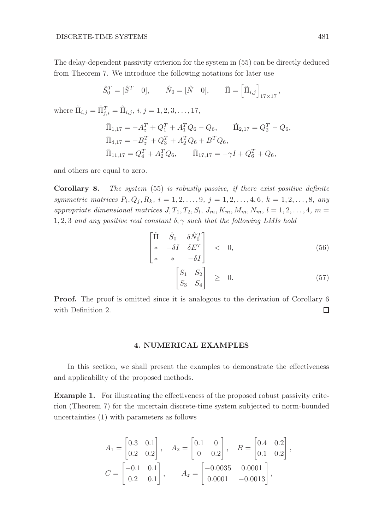The delay-dependent passivity criterion for the system in (55) can be directly deduced from Theorem 7. We introduce the following notations for later use

$$
\hat{S}_0^T = [\hat{S}^T \quad 0], \qquad \hat{N}_0 = [\hat{N} \quad 0], \qquad \tilde{\Pi} = \left[ \tilde{\Pi}_{i,j} \right]_{17 \times 17},
$$

where  $\tilde{\Pi}_{i,j} = \tilde{\Pi}_{j,i}^T = \hat{\Pi}_{i,j}, i, j = 1, 2, 3, ..., 17,$ 

$$
\tilde{\Pi}_{1,17} = -A_z^T + Q_1^T + A_1^T Q_6 - Q_6, \qquad \tilde{\Pi}_{2,17} = Q_2^T - Q_6,
$$
  
\n
$$
\tilde{\Pi}_{4,17} = -B_z^T + Q_3^T + A_2^T Q_6 + B^T Q_6,
$$
  
\n
$$
\tilde{\Pi}_{11,17} = Q_4^T + A_2^T Q_6, \qquad \tilde{\Pi}_{17,17} = -\gamma I + Q_6^T + Q_6,
$$

and others are equal to zero.

Corollary 8. *The system* (55) *is robustly passive, if there exist positive definite symmetric matrices*  $P_i, Q_j, R_k, i = 1, 2, ..., 9, j = 1, 2, ..., 4, 6, k = 1, 2, ..., 8, any$ appropriate dimensional matrices  $J, T_1, T_2, S_l, J_m, K_m, M_m, N_m, l = 1, 2, \ldots, 4, m =$ 1, 2, 3 *and any positive real constant* δ, γ *such that the following LMIs hold*

$$
\begin{bmatrix} \tilde{\Pi} & \hat{S}_0 & \delta \hat{N}_0^T \\ * & -\delta I & \delta E^T \\ * & * & -\delta I \end{bmatrix} < 0,\tag{56}
$$

$$
\begin{bmatrix} S_1 & S_2 \\ S_3 & S_4 \end{bmatrix} \geq 0. \tag{57}
$$

Proof. The proof is omitted since it is analogous to the derivation of Corollary 6 with Definition 2.  $\Box$ 

# 4. NUMERICAL EXAMPLES

In this section, we shall present the examples to demonstrate the effectiveness and applicability of the proposed methods.

Example 1. For illustrating the effectiveness of the proposed robust passivity criterion (Theorem 7) for the uncertain discrete-time system subjected to norm-bounded uncertainties (1) with parameters as follows

$$
A_1 = \begin{bmatrix} 0.3 & 0.1 \\ 0.2 & 0.2 \end{bmatrix}, \quad A_2 = \begin{bmatrix} 0.1 & 0 \\ 0 & 0.2 \end{bmatrix}, \quad B = \begin{bmatrix} 0.4 & 0.2 \\ 0.1 & 0.2 \end{bmatrix},
$$
  

$$
C = \begin{bmatrix} -0.1 & 0.1 \\ 0.2 & 0.1 \end{bmatrix}, \quad A_z = \begin{bmatrix} -0.0035 & 0.0001 \\ 0.0001 & -0.0013 \end{bmatrix},
$$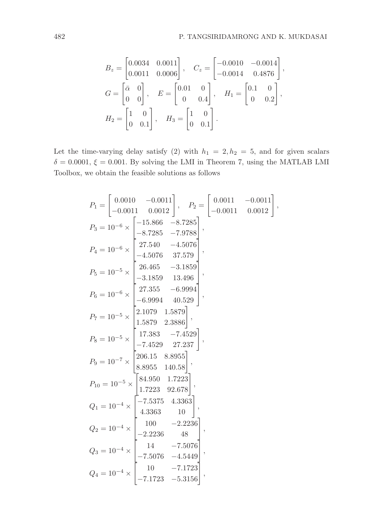$$
B_z = \begin{bmatrix} 0.0034 & 0.0011 \\ 0.0011 & 0.0006 \end{bmatrix}, \quad C_z = \begin{bmatrix} -0.0010 & -0.0014 \\ -0.0014 & 0.4876 \end{bmatrix},
$$
  
\n
$$
G = \begin{bmatrix} \bar{\alpha} & 0 \\ 0 & 0 \end{bmatrix}, \quad E = \begin{bmatrix} 0.01 & 0 \\ 0 & 0.4 \end{bmatrix}, \quad H_1 = \begin{bmatrix} 0.1 & 0 \\ 0 & 0.2 \end{bmatrix},
$$
  
\n
$$
H_2 = \begin{bmatrix} 1 & 0 \\ 0 & 0.1 \end{bmatrix}, \quad H_3 = \begin{bmatrix} 1 & 0 \\ 0 & 0.1 \end{bmatrix}.
$$

Let the time-varying delay satisfy (2) with  $h_1 = 2, h_2 = 5$ , and for given scalars  $\delta = 0.0001$ ,  $\xi = 0.001$ . By solving the LMI in Theorem 7, using the MATLAB LMI Toolbox, we obtain the feasible solutions as follows

$$
P_1 = \begin{bmatrix} 0.0010 & -0.0011 \\ -0.0011 & 0.0012 \end{bmatrix}, P_2 = \begin{bmatrix} 0.0011 & -0.0011 \\ -0.0011 & 0.0012 \end{bmatrix},
$$
  
\n
$$
P_3 = 10^{-6} \times \begin{bmatrix} -15.866 & -8.7285 \\ -8.7285 & -7.9788 \\ -8.7285 & -7.9788 \end{bmatrix},
$$
  
\n
$$
P_4 = 10^{-6} \times \begin{bmatrix} 27.540 & -4.5076 \\ -4.5076 & 37.579 \\ -3.1859 & 13.496 \\ -3.1859 & 13.496 \end{bmatrix},
$$
  
\n
$$
P_6 = 10^{-6} \times \begin{bmatrix} 27.355 & -6.9994 \\ -6.9994 & 40.529 \\ 1.5879 & 2.3886 \end{bmatrix},
$$
  
\n
$$
P_7 = 10^{-5} \times \begin{bmatrix} 17.383 & -7.4529 \\ -7.4529 & 27.237 \\ -7.4529 & 27.237 \end{bmatrix},
$$
  
\n
$$
P_9 = 10^{-7} \times \begin{bmatrix} 84.950 & 1.7223 \\ 8.8955 & 140.58 \end{bmatrix},
$$
  
\n
$$
P_{10} = 10^{-5} \times \begin{bmatrix} 84.950 & 1.7223 \\ 1.7223 & 92.678 \end{bmatrix},
$$
  
\n
$$
Q_1 = 10^{-4} \times \begin{bmatrix} -7.5375 & 4.3363 \\ 4.3363 & 10 \\ -2.2236 & 48 \\ -2.2236 & 48 \end{bmatrix},
$$
  
\n
$$
Q_2 = 10^{-4} \times \begin{bmatrix} 10 & -7.1723 \\ -7.5076 & -4.5449 \\ -7.1723 & -5.3156 \end{bmatrix},
$$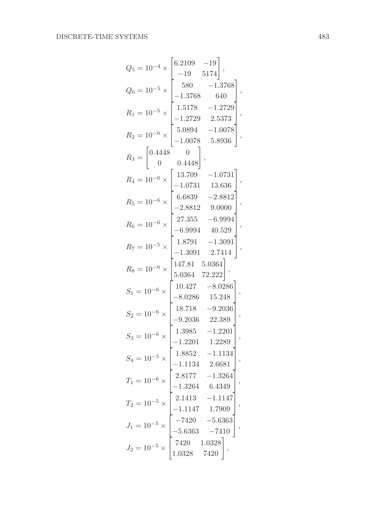$$
Q_5 = 10^{-4} \times \begin{bmatrix} 6.2109 & -19 \\ -19 & 5174 \\ 580 & -1.3768 \\ -1.3768 & 640 \end{bmatrix},
$$
  
\n
$$
R_1 = 10^{-5} \times \begin{bmatrix} 1.5178 & -1.2729 \\ -1.2729 & 2.5373 \\ -1.0078 & 5.8936 \end{bmatrix},
$$
  
\n
$$
R_2 = 10^{-6} \times \begin{bmatrix} 13.709 & -1.0731 \\ 0 & 0.4448 \end{bmatrix},
$$
  
\n
$$
R_4 = 10^{-6} \times \begin{bmatrix} 13.709 & -1.0731 \\ -1.0731 & 13.636 \\ -2.8812 & 9.0000 \end{bmatrix},
$$
  
\n
$$
R_6 = 10^{-6} \times \begin{bmatrix} 27.355 & -6.9994 \\ -6.9994 & 40.529 \\ -1.3091 & 2.7414 \end{bmatrix},
$$
  
\n
$$
R_8 = 10^{-6} \times \begin{bmatrix} 147.81 & 5.0364 \\ 5.0364 & 72.222 \end{bmatrix},
$$
  
\n
$$
S_1 = 10^{-6} \times \begin{bmatrix} 10.427 & -8.0286 \\ 10.427 & -8.0286 \\ -8.0286 & 15.248 \\ -9.2036 & 22.389 \end{bmatrix},
$$
  
\n
$$
S_3 = 10^{-6} \times \begin{bmatrix} 18.718 & -9.2036 \\ -9.2036 & 22.389 \\ -1.2201 & 1.2289 \\ -1.1134 & 2.6681 \\ -1.1134 & 2.6681 \\ -1.1134 & 2.6681 \\ -1.1134 & 2.6681 \\ -1.1147 & 1.7909 \\ -5.6363 & -7410 \end{bmatrix},
$$
  
\n
$$
J_1 = 10^{-5} \times \begin{bmatrix} 2.8
$$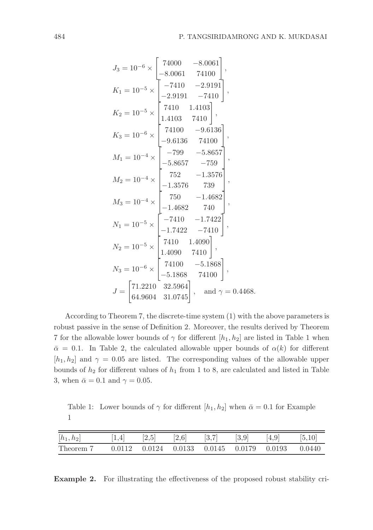$$
J_3 = 10^{-6} \times \begin{bmatrix} 74000 & -8.0061 \\ -8.0061 & 74100 \end{bmatrix},
$$
  
\n
$$
K_1 = 10^{-5} \times \begin{bmatrix} -7410 & -2.9191 \\ -2.9191 & -7410 \end{bmatrix},
$$
  
\n
$$
K_2 = 10^{-5} \times \begin{bmatrix} 7410 & 1.4103 \\ 1.4103 & 7410 \end{bmatrix},
$$
  
\n
$$
K_3 = 10^{-6} \times \begin{bmatrix} 74100 & -9.6136 \\ -9.6136 & 74100 \end{bmatrix},
$$
  
\n
$$
M_1 = 10^{-4} \times \begin{bmatrix} -799 & -5.8657 \\ -5.8657 & -759 \end{bmatrix},
$$
  
\n
$$
M_2 = 10^{-4} \times \begin{bmatrix} 752 & -1.3576 \\ -1.3576 & 739 \end{bmatrix},
$$
  
\n
$$
M_3 = 10^{-4} \times \begin{bmatrix} 750 & -1.4682 \\ -1.4682 & 740 \end{bmatrix},
$$
  
\n
$$
N_1 = 10^{-5} \times \begin{bmatrix} -7410 & -1.7422 \\ -1.7422 & -7410 \end{bmatrix},
$$
  
\n
$$
N_2 = 10^{-5} \times \begin{bmatrix} 7410 & 1.4090 \\ 1.4090 & 7410 \end{bmatrix},
$$
  
\n
$$
N_3 = 10^{-6} \times \begin{bmatrix} 74100 & -5.1868 \\ -5.1868 & 74100 \end{bmatrix},
$$
  
\n
$$
J = \begin{bmatrix} 71.2210 & 32.5964 \\ 64.9604 & 31.0745 \end{bmatrix},
$$
 and  $\gamma = 0.4468$ .

According to Theorem 7, the discrete-time system (1) with the above parameters is robust passive in the sense of Definition 2. Moreover, the results derived by Theorem 7 for the allowable lower bounds of  $\gamma$  for different  $[h_1, h_2]$  are listed in Table 1 when  $\bar{\alpha} = 0.1$ . In Table 2, the calculated allowable upper bounds of  $\alpha(k)$  for different  $[h_1, h_2]$  and  $\gamma = 0.05$  are listed. The corresponding values of the allowable upper bounds of  $h_2$  for different values of  $h_1$  from 1 to 8, are calculated and listed in Table 3, when  $\bar{\alpha} = 0.1$  and  $\gamma = 0.05$ .

Table 1: Lower bounds of  $\gamma$  for different  $[h_1, h_2]$  when  $\bar{\alpha} = 0.1$  for Example 1

| $[h_1, h_2]$ | 1,4 | $[2,5]$ $[2,6]$ | $\left[3,7\right]$ | $[3,9]$ $[4,9]$ |                                                                | [5, 10] |
|--------------|-----|-----------------|--------------------|-----------------|----------------------------------------------------------------|---------|
| Theorem 7    |     |                 |                    |                 | $0.0112$ $0.0124$ $0.0133$ $0.0145$ $0.0179$ $0.0193$ $0.0440$ |         |

Example 2. For illustrating the effectiveness of the proposed robust stability cri-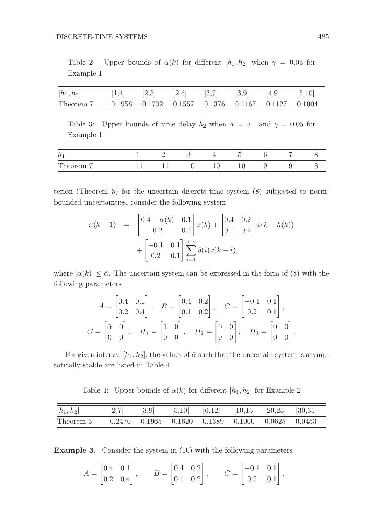Table 2: Upper bounds of  $\alpha(k)$  for different  $[h_1, h_2]$  when  $\gamma = 0.05$  for Example 1

| $[h_1, h_2]$                                                             |  |  | $[1,4]$ $[2,5]$ $[2,6]$ $[3,7]$ $[3,9]$ $[4,9]$ $[5,10]$ |  |
|--------------------------------------------------------------------------|--|--|----------------------------------------------------------|--|
| Theorem 7 $0.1958$ $0.1702$ $0.1557$ $0.1376$ $0.1167$ $0.1127$ $0.1004$ |  |  |                                                          |  |

Table 3: Upper bounds of time delay  $h_2$  when  $\bar{\alpha} = 0.1$  and  $\gamma = 0.05$  for Example 1

| $\iota$                     |  |   |               |            |   |  |
|-----------------------------|--|---|---------------|------------|---|--|
| m<br>-<br><b>THOOT OILL</b> |  | ◡ | <b>.</b><br>ິ | $\tilde{}$ | v |  |

terion (Theorem 5) for the uncertain discrete-time system (8) subjected to normbounded uncertainties, consider the following system

$$
x(k+1) = \begin{bmatrix} 0.4 + \alpha(k) & 0.1 \\ 0.2 & 0.4 \end{bmatrix} x(k) + \begin{bmatrix} 0.4 & 0.2 \\ 0.1 & 0.2 \end{bmatrix} x(k - h(k)) + \begin{bmatrix} -0.1 & 0.1 \\ 0.2 & 0.1 \end{bmatrix} \sum_{i=1}^{+\infty} \delta(i)x(k - i),
$$

where  $|\alpha(k)| \leq \bar{\alpha}$ . The uncertain system can be expressed in the form of (8) with the following parameters

$$
A = \begin{bmatrix} 0.4 & 0.1 \\ 0.2 & 0.4 \end{bmatrix}, \quad B = \begin{bmatrix} 0.4 & 0.2 \\ 0.1 & 0.2 \end{bmatrix}, \quad C = \begin{bmatrix} -0.1 & 0.1 \\ 0.2 & 0.1 \end{bmatrix},
$$

$$
G = \begin{bmatrix} \bar{\alpha} & 0 \\ 0 & 0 \end{bmatrix}, \quad H_1 = \begin{bmatrix} 1 & 0 \\ 0 & 0 \end{bmatrix}, \quad H_2 = \begin{bmatrix} 0 & 0 \\ 0 & 0 \end{bmatrix}, \quad H_3 = \begin{bmatrix} 0 & 0 \\ 0 & 0 \end{bmatrix}.
$$

For given interval  $[h_1, h_2]$ , the values of  $\bar{\alpha}$  such that the uncertain system is asymptotically stable are listed in Table 4 .

Table 4: Upper bounds of  $\alpha(k)$  for different  $[h_1, h_2]$  for Example 2

| $[h_1,h_2]$ | [2,7] | [3,9] | [5,10] | $[6,12]$ $[10,15]$ $[20,25]$ $[30,35]$                         |  |
|-------------|-------|-------|--------|----------------------------------------------------------------|--|
| Theorem 5   |       |       |        | $0.2470$ $0.1965$ $0.1620$ $0.1389$ $0.1000$ $0.0625$ $0.0453$ |  |

Example 3. Consider the system in (10) with the following parameters

$$
A = \begin{bmatrix} 0.4 & 0.1 \\ 0.2 & 0.4 \end{bmatrix}, \qquad B = \begin{bmatrix} 0.4 & 0.2 \\ 0.1 & 0.2 \end{bmatrix}, \qquad C = \begin{bmatrix} -0.1 & 0.1 \\ 0.2 & 0.1 \end{bmatrix}.
$$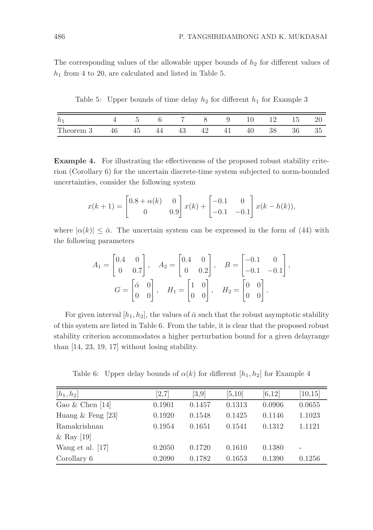The corresponding values of the allowable upper bounds of  $h_2$  for different values of  $h_1$  from 4 to 20, are calculated and listed in Table 5.

Table 5: Upper bounds of time delay  $h_2$  for different  $h_1$  for Example 3

| $\iota$   |    |  |    | $\mathbf{x}$ | <sup>O</sup> | 10 | 19 | 15 | $\mathcal{L}$ |
|-----------|----|--|----|--------------|--------------|----|----|----|---------------|
| Theorem 3 | 46 |  | πυ | 49<br>≖      | 41           | 40 | 38 | 36 | 35            |

Example 4. For illustrating the effectiveness of the proposed robust stability criterion (Corollary 6) for the uncertain discrete-time system subjected to norm-bounded uncertainties, consider the following system

$$
x(k+1) = \begin{bmatrix} 0.8 + \alpha(k) & 0 \\ 0 & 0.9 \end{bmatrix} x(k) + \begin{bmatrix} -0.1 & 0 \\ -0.1 & -0.1 \end{bmatrix} x(k - h(k)),
$$

where  $|\alpha(k)| \leq \bar{\alpha}$ . The uncertain system can be expressed in the form of (44) with the following parameters

$$
A_1 = \begin{bmatrix} 0.4 & 0 \\ 0 & 0.7 \end{bmatrix}, \quad A_2 = \begin{bmatrix} 0.4 & 0 \\ 0 & 0.2 \end{bmatrix}, \quad B = \begin{bmatrix} -0.1 & 0 \\ -0.1 & -0.1 \end{bmatrix},
$$

$$
G = \begin{bmatrix} \bar{\alpha} & 0 \\ 0 & 0 \end{bmatrix}, \quad H_1 = \begin{bmatrix} 1 & 0 \\ 0 & 0 \end{bmatrix}, \quad H_2 = \begin{bmatrix} 0 & 0 \\ 0 & 0 \end{bmatrix}.
$$

For given interval  $[h_1, h_2]$ , the values of  $\bar{\alpha}$  such that the robust asymptotic stability of this system are listed in Table 6. From the table, it is clear that the proposed robust stability criterion accommodates a higher perturbation bound for a given delayrange than [14, 23, 19, 17] without losing stability.

Table 6: Upper delay bounds of  $\alpha(k)$  for different  $[h_1, h_2]$  for Example 4

| $[h_1, h_2]$        | [2,7]  | [3,9]  | [5,10] | [6, 12] | [10, 15] |
|---------------------|--------|--------|--------|---------|----------|
| Gao $&$ Chen [14]   | 0.1901 | 0.1457 | 0.1313 | 0.0906  | 0.0655   |
| Huang $&$ Feng [23] | 0.1920 | 0.1548 | 0.1425 | 0.1146  | 1.1023   |
| Ramakrishnan        | 0.1954 | 0.1651 | 0.1541 | 0.1312  | 1.1121   |
| & Ray [19]          |        |        |        |         |          |
| Wang et al. [17]    | 0.2050 | 0.1720 | 0.1610 | 0.1380  |          |
| Corollary 6         | 0.2090 | 0.1782 | 0.1653 | 0.1390  | 0.1256   |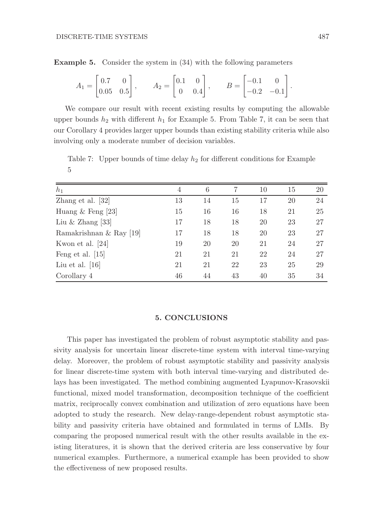Example 5. Consider the system in (34) with the following parameters

$$
A_1 = \begin{bmatrix} 0.7 & 0 \\ 0.05 & 0.5 \end{bmatrix}, \qquad A_2 = \begin{bmatrix} 0.1 & 0 \\ 0 & 0.4 \end{bmatrix}, \qquad B = \begin{bmatrix} -0.1 & 0 \\ -0.2 & -0.1 \end{bmatrix}
$$

We compare our result with recent existing results by computing the allowable upper bounds  $h_2$  with different  $h_1$  for Example 5. From Table 7, it can be seen that our Corollary 4 provides larger upper bounds than existing stability criteria while also involving only a moderate number of decision variables.

Table 7: Upper bounds of time delay  $h_2$  for different conditions for Example 5

| $h_1$                   | 4  | 6  | 7  | 10 | 15 | 20 |
|-------------------------|----|----|----|----|----|----|
| Zhang et al. $[32]$     | 13 | 14 | 15 | 17 | 20 | 24 |
| Huang $&$ Feng [23]     | 15 | 16 | 16 | 18 | 21 | 25 |
| Liu & Zhang [33]        | 17 | 18 | 18 | 20 | 23 | 27 |
| Ramakrishnan & Ray [19] | 17 | 18 | 18 | 20 | 23 | 27 |
| Kwon et al. [24]        | 19 | 20 | 20 | 21 | 24 | 27 |
| Feng et al. $[15]$      | 21 | 21 | 21 | 22 | 24 | 27 |
| Liu et al. $ 16 $       | 21 | 21 | 22 | 23 | 25 | 29 |
| Corollary 4             | 46 | 44 | 43 | 40 | 35 | 34 |

### 5. CONCLUSIONS

This paper has investigated the problem of robust asymptotic stability and passivity analysis for uncertain linear discrete-time system with interval time-varying delay. Moreover, the problem of robust asymptotic stability and passivity analysis for linear discrete-time system with both interval time-varying and distributed delays has been investigated. The method combining augmented Lyapunov-Krasovskii functional, mixed model transformation, decomposition technique of the coefficient matrix, reciprocally convex combination and utilization of zero equations have been adopted to study the research. New delay-range-dependent robust asymptotic stability and passivity criteria have obtained and formulated in terms of LMIs. By comparing the proposed numerical result with the other results available in the existing literatures, it is shown that the derived criteria are less conservative by four numerical examples. Furthermore, a numerical example has been provided to show the effectiveness of new proposed results.

.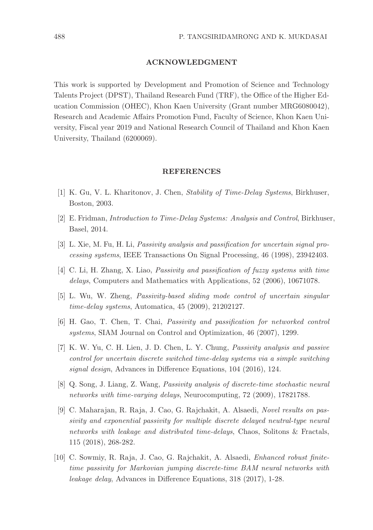#### ACKNOWLEDGMENT

This work is supported by Development and Promotion of Science and Technology Talents Project (DPST), Thailand Research Fund (TRF), the Office of the Higher Education Commission (OHEC), Khon Kaen University (Grant number MRG6080042), Research and Academic Affairs Promotion Fund, Faculty of Science, Khon Kaen University, Fiscal year 2019 and National Research Council of Thailand and Khon Kaen University, Thailand (6200069).

#### REFERENCES

- [1] K. Gu, V. L. Kharitonov, J. Chen, *Stability of Time-Delay Systems*, Birkhuser, Boston, 2003.
- [2] E. Fridman, *Introduction to Time-Delay Systems: Analysis and Control*, Birkhuser, Basel, 2014.
- [3] L. Xie, M. Fu, H. Li, *Passivity analysis and passification for uncertain signal processing systems*, IEEE Transactions On Signal Processing, 46 (1998), 23942403.
- [4] C. Li, H. Zhang, X. Liao, *Passivity and passification of fuzzy systems with time delays*, Computers and Mathematics with Applications, 52 (2006), 10671078.
- [5] L. Wu, W. Zheng, *Passivity-based sliding mode control of uncertain singular time-delay systems*, Automatica, 45 (2009), 21202127.
- [6] H. Gao, T. Chen, T. Chai, *Passivity and passification for networked control systems*, SIAM Journal on Control and Optimization, 46 (2007), 1299.
- [7] K. W. Yu, C. H. Lien, J. D. Chen, L. Y. Chung, *Passivity analysis and passive control for uncertain discrete switched time-delay systems via a simple switching signal design*, Advances in Difference Equations, 104 (2016), 124.
- [8] Q. Song, J. Liang, Z. Wang, *Passivity analysis of discrete-time stochastic neural networks with time-varying delays*, Neurocomputing, 72 (2009), 17821788.
- [9] C. Maharajan, R. Raja, J. Cao, G. Rajchakit, A. Alsaedi, *Novel results on passivity and exponential passivity for multiple discrete delayed neutral-type neural networks with leakage and distributed time-delays*, Chaos, Solitons & Fractals, 115 (2018), 268-282.
- [10] C. Sowmiy, R. Raja, J. Cao, G. Rajchakit, A. Alsaedi, *Enhanced robust finitetime passivity for Markovian jumping discrete-time BAM neural networks with leakage delay*, Advances in Difference Equations, 318 (2017), 1-28.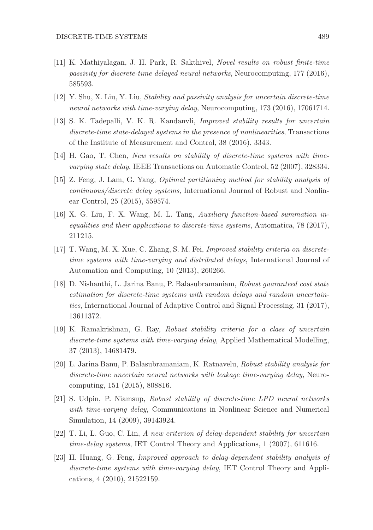- [11] K. Mathiyalagan, J. H. Park, R. Sakthivel, *Novel results on robust finite-time passivity for discrete-time delayed neural networks*, Neurocomputing, 177 (2016), 585593.
- [12] Y. Shu, X. Liu, Y. Liu, *Stability and passivity analysis for uncertain discrete-time neural networks with time-varying delay*, Neurocomputing, 173 (2016), 17061714.
- [13] S. K. Tadepalli, V. K. R. Kandanvli, *Improved stability results for uncertain discrete-time state-delayed systems in the presence of nonlinearities*, Transactions of the Institute of Measurement and Control, 38 (2016), 3343.
- [14] H. Gao, T. Chen, *New results on stability of discrete-time systems with timevarying state delay*, IEEE Transactions on Automatic Control, 52 (2007), 328334.
- [15] Z. Feng, J. Lam, G. Yang, *Optimal partitioning method for stability analysis of continuous/discrete delay systems*, International Journal of Robust and Nonlinear Control, 25 (2015), 559574.
- [16] X. G. Liu, F. X. Wang, M. L. Tang, *Auxiliary function-based summation inequalities and their applications to discrete-time systems*, Automatica, 78 (2017), 211215.
- [17] T. Wang, M. X. Xue, C. Zhang, S. M. Fei, *Improved stability criteria on discretetime systems with time-varying and distributed delays*, International Journal of Automation and Computing, 10 (2013), 260266.
- [18] D. Nishanthi, L. Jarina Banu, P. Balasubramaniam, *Robust guaranteed cost state estimation for discrete-time systems with random delays and random uncertainties*, International Journal of Adaptive Control and Signal Processing, 31 (2017), 13611372.
- [19] K. Ramakrishnan, G. Ray, *Robust stability criteria for a class of uncertain discrete-time systems with time-varying delay*, Applied Mathematical Modelling, 37 (2013), 14681479.
- [20] L. Jarina Banu, P. Balasubramaniam, K. Ratnavelu, *Robust stability analysis for discrete-time uncertain neural networks with leakage time-varying delay*, Neurocomputing, 151 (2015), 808816.
- [21] S. Udpin, P. Niamsup, *Robust stability of discrete-time LPD neural networks with time-varying delay*, Communications in Nonlinear Science and Numerical Simulation, 14 (2009), 39143924.
- [22] T. Li, L. Guo, C. Lin, *A new criterion of delay-dependent stability for uncertain time-delay systems*, IET Control Theory and Applications, 1 (2007), 611616.
- [23] H. Huang, G. Feng, *Improved approach to delay-dependent stability analysis of discrete-time systems with time-varying delay*, IET Control Theory and Applications, 4 (2010), 21522159.